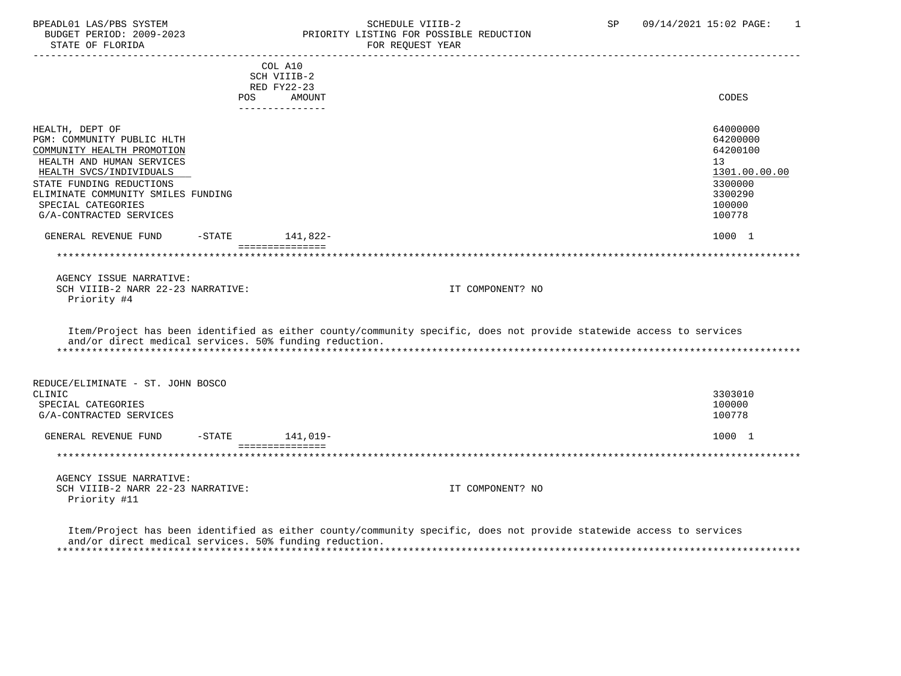# BPEADL01 LAS/PBS SYSTEM STRING THE SCHEDULE VIIIB-2 SCHEDULE VIIIB-2 SP 09/14/2021 15:02 PAGE: 1 PRIORITY LISTING FOR POSSIBLE REDUCTION

 ----------------------------------------------------------------------------------------------------------------------------------- COL A10 SCH VIIIB-2 RED FY22-23 POS AMOUNT NOTES AND AND A RESERVE AND A RESERVE AND LODGED AND LODGED AND LODGED AND LODGED AND LODGED AND LODGED AT A LODGED AND LODGED AT A LODGED AND LODGED AT A LODGED AND LODGED AT A LODGED AND LODGED AT A LODGED AND --------------- HEALTH, DEPT OF 64000000 PGM: COMMUNITY PUBLIC HLTH 64200000<br>COMMUNITY HEALTH PROMOTION 64200100 COMMUNITY HEALTH PROMOTION HEALTH AND HUMAN SERVICES 13<br>HEALTH SVCS/INDIVIDUALS 1301.00.00 PHOTOSHOLD SUPERINT AND THE SUPERINT SUPERINT AND THE SVCS INDIVIDUALS HEALTH SVCS/INDIVIDUALS 1301.00.<br>TATE FUNDING REDUCTIONS 3300000. STATE FUNDING REDUCTIONS ELIMINATE COMMUNITY SMILES FUNDING<br>SPECIAL CATEGORIES 100000 SPECIAL CATEGORIES 100000<br>G/A-CONTRACTED SERVICES 100778 G/A-CONTRACTED SERVICES GENERAL REVENUE FUND -STATE 141,822-<br>
1000 1 =============== \*\*\*\*\*\*\*\*\*\*\*\*\*\*\*\*\*\*\*\*\*\*\*\*\*\*\*\*\*\*\*\*\*\*\*\*\*\*\*\*\*\*\*\*\*\*\*\*\*\*\*\*\*\*\*\*\*\*\*\*\*\*\*\*\*\*\*\*\*\*\*\*\*\*\*\*\*\*\*\*\*\*\*\*\*\*\*\*\*\*\*\*\*\*\*\*\*\*\*\*\*\*\*\*\*\*\*\*\*\*\*\*\*\*\*\*\*\*\*\*\*\*\*\*\*\*\* AGENCY ISSUE NARRATIVE: SCH VIIIB-2 NARR 22-23 NARRATIVE: IT COMPONENT? NO Priority #4 Item/Project has been identified as either county/community specific, does not provide statewide access to services and/or direct medical services. 50% funding reduction. \*\*\*\*\*\*\*\*\*\*\*\*\*\*\*\*\*\*\*\*\*\*\*\*\*\*\*\*\*\*\*\*\*\*\*\*\*\*\*\*\*\*\*\*\*\*\*\*\*\*\*\*\*\*\*\*\*\*\*\*\*\*\*\*\*\*\*\*\*\*\*\*\*\*\*\*\*\*\*\*\*\*\*\*\*\*\*\*\*\*\*\*\*\*\*\*\*\*\*\*\*\*\*\*\*\*\*\*\*\*\*\*\*\*\*\*\*\*\*\*\*\*\*\*\*\*\* REDUCE/ELIMINATE - ST. JOHN BOSCO CLINIC 3303010 SPECIAL CATEGORIES 100000 G/A-CONTRACTED SERVICES 100778 GENERAL REVENUE FUND -STATE 141,019- 1000 1 =============== \*\*\*\*\*\*\*\*\*\*\*\*\*\*\*\*\*\*\*\*\*\*\*\*\*\*\*\*\*\*\*\*\*\*\*\*\*\*\*\*\*\*\*\*\*\*\*\*\*\*\*\*\*\*\*\*\*\*\*\*\*\*\*\*\*\*\*\*\*\*\*\*\*\*\*\*\*\*\*\*\*\*\*\*\*\*\*\*\*\*\*\*\*\*\*\*\*\*\*\*\*\*\*\*\*\*\*\*\*\*\*\*\*\*\*\*\*\*\*\*\*\*\*\*\*\*\* AGENCY ISSUE NARRATIVE: SCH VIIIB-2 NARR 22-23 NARRATIVE: IT COMPONENT? NO Priority #11

 Item/Project has been identified as either county/community specific, does not provide statewide access to services and/or direct medical services. 50% funding reduction. \*\*\*\*\*\*\*\*\*\*\*\*\*\*\*\*\*\*\*\*\*\*\*\*\*\*\*\*\*\*\*\*\*\*\*\*\*\*\*\*\*\*\*\*\*\*\*\*\*\*\*\*\*\*\*\*\*\*\*\*\*\*\*\*\*\*\*\*\*\*\*\*\*\*\*\*\*\*\*\*\*\*\*\*\*\*\*\*\*\*\*\*\*\*\*\*\*\*\*\*\*\*\*\*\*\*\*\*\*\*\*\*\*\*\*\*\*\*\*\*\*\*\*\*\*\*\*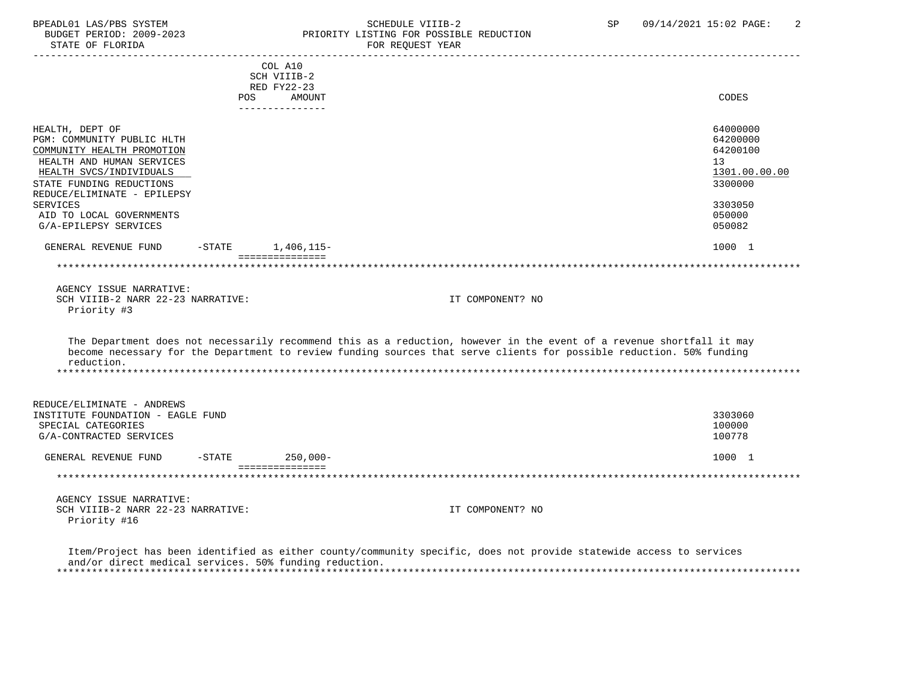# BPEADL01 LAS/PBS SYSTEM SALLE SOME SCHEDULE VIIIB-2 SCHEDULE SOME SP 09/14/2021 15:02 PAGE: 2<br>BUDGET PERIOD: 2009-2023 SP PRIORITY LISTING FOR POSSIBLE REDUCTION PRIORITY LISTING FOR POSSIBLE REDUCTION<br>FOR REQUEST YEAR

|                                   |           | COL A10<br>SCH VIIIB-2         |                                                                                                                                       |               |
|-----------------------------------|-----------|--------------------------------|---------------------------------------------------------------------------------------------------------------------------------------|---------------|
|                                   |           | RED FY22-23                    |                                                                                                                                       |               |
|                                   | POS       | AMOUNT<br>----------------     |                                                                                                                                       | CODES         |
|                                   |           |                                |                                                                                                                                       |               |
| HEALTH, DEPT OF                   |           |                                |                                                                                                                                       | 64000000      |
| PGM: COMMUNITY PUBLIC HLTH        |           |                                |                                                                                                                                       | 64200000      |
| COMMUNITY HEALTH PROMOTION        |           |                                |                                                                                                                                       | 64200100      |
| HEALTH AND HUMAN SERVICES         |           |                                |                                                                                                                                       | 13            |
| HEALTH SVCS/INDIVIDUALS           |           |                                |                                                                                                                                       | 1301.00.00.00 |
| STATE FUNDING REDUCTIONS          |           |                                |                                                                                                                                       | 3300000       |
| REDUCE/ELIMINATE - EPILEPSY       |           |                                |                                                                                                                                       |               |
| SERVICES                          |           |                                |                                                                                                                                       | 3303050       |
| AID TO LOCAL GOVERNMENTS          |           |                                |                                                                                                                                       | 050000        |
| G/A-EPILEPSY SERVICES             |           |                                |                                                                                                                                       | 050082        |
| GENERAL REVENUE FUND              | $-$ STATE | 1,406,115-                     |                                                                                                                                       | 1000 1        |
|                                   |           | ===============                |                                                                                                                                       |               |
|                                   |           |                                |                                                                                                                                       |               |
| AGENCY ISSUE NARRATIVE:           |           |                                |                                                                                                                                       |               |
| SCH VIIIB-2 NARR 22-23 NARRATIVE: |           |                                | IT COMPONENT? NO                                                                                                                      |               |
| Priority #3                       |           |                                |                                                                                                                                       |               |
|                                   |           |                                |                                                                                                                                       |               |
|                                   |           |                                | The Department does not necessarily recommend this as a reduction, however in the event of a revenue shortfall it may                 |               |
| reduction.                        |           |                                | become necessary for the Department to review funding sources that serve clients for possible reduction. 50% funding                  |               |
|                                   |           |                                |                                                                                                                                       |               |
|                                   |           |                                |                                                                                                                                       |               |
| REDUCE/ELIMINATE - ANDREWS        |           |                                |                                                                                                                                       |               |
| INSTITUTE FOUNDATION - EAGLE FUND |           |                                |                                                                                                                                       | 3303060       |
| SPECIAL CATEGORIES                |           |                                |                                                                                                                                       | 100000        |
| G/A-CONTRACTED SERVICES           |           |                                |                                                                                                                                       | 100778        |
| GENERAL REVENUE FUND              | $-$ STATE | $250.000 -$<br>=============== |                                                                                                                                       | 1000 1        |
|                                   |           |                                |                                                                                                                                       |               |
| AGENCY ISSUE NARRATIVE:           |           |                                |                                                                                                                                       |               |
| SCH VIIIB-2 NARR 22-23 NARRATIVE: |           |                                | IT COMPONENT? NO                                                                                                                      |               |
| Priority #16                      |           |                                |                                                                                                                                       |               |
|                                   |           |                                |                                                                                                                                       |               |
|                                   |           |                                | The GAST Control to the Child Constant of Control Common Common Constantino and the constant constant of the constant of the constant |               |

 Item/Project has been identified as either county/community specific, does not provide statewide access to services and/or direct medical services. 50% funding reduction. \*\*\*\*\*\*\*\*\*\*\*\*\*\*\*\*\*\*\*\*\*\*\*\*\*\*\*\*\*\*\*\*\*\*\*\*\*\*\*\*\*\*\*\*\*\*\*\*\*\*\*\*\*\*\*\*\*\*\*\*\*\*\*\*\*\*\*\*\*\*\*\*\*\*\*\*\*\*\*\*\*\*\*\*\*\*\*\*\*\*\*\*\*\*\*\*\*\*\*\*\*\*\*\*\*\*\*\*\*\*\*\*\*\*\*\*\*\*\*\*\*\*\*\*\*\*\*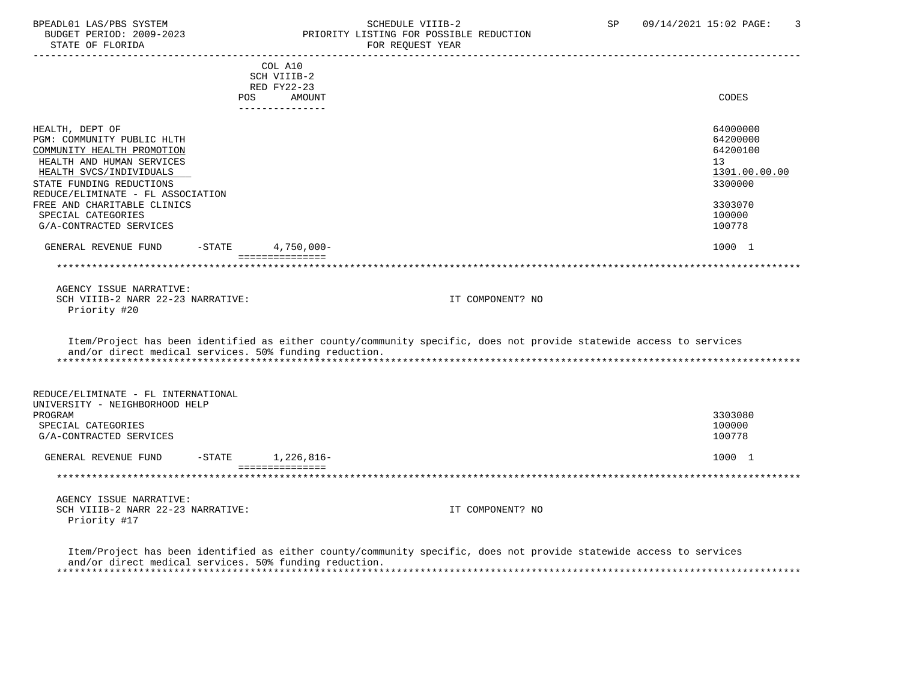#### BPEADL01 LAS/PBS SYSTEM SALLE STREDULE VIIIB-2 SCHEDULE VIIIB-2 SP 09/14/2021 15:02 PAGE: 3<br>BUDGET PERIOD: 2009-2023 PRIORITY LISTING FOR POSSIBLE REDUCTION BUDGET PERIOD: 2009-2023 PRIORITY LISTING FOR POSSIBLE REDUCTION FOR REQUEST YEAR

|                                                        |     | COL A10                   |                                                                                                                     |               |
|--------------------------------------------------------|-----|---------------------------|---------------------------------------------------------------------------------------------------------------------|---------------|
|                                                        |     | SCH VIIIB-2               |                                                                                                                     |               |
|                                                        |     | RED FY22-23               |                                                                                                                     |               |
|                                                        | POS | AMOUNT<br>_______________ |                                                                                                                     | CODES         |
|                                                        |     |                           |                                                                                                                     |               |
| HEALTH, DEPT OF                                        |     |                           |                                                                                                                     | 64000000      |
| PGM: COMMUNITY PUBLIC HLTH                             |     |                           |                                                                                                                     | 64200000      |
| COMMUNITY HEALTH PROMOTION                             |     |                           |                                                                                                                     | 64200100      |
| HEALTH AND HUMAN SERVICES                              |     |                           |                                                                                                                     | 13            |
|                                                        |     |                           |                                                                                                                     |               |
| HEALTH SVCS/INDIVIDUALS                                |     |                           |                                                                                                                     | 1301.00.00.00 |
| STATE FUNDING REDUCTIONS                               |     |                           |                                                                                                                     | 3300000       |
| REDUCE/ELIMINATE - FL ASSOCIATION                      |     |                           |                                                                                                                     |               |
| FREE AND CHARITABLE CLINICS                            |     |                           |                                                                                                                     | 3303070       |
| SPECIAL CATEGORIES                                     |     |                           |                                                                                                                     | 100000        |
| G/A-CONTRACTED SERVICES                                |     |                           |                                                                                                                     | 100778        |
| GENERAL REVENUE FUND                                   |     | $-$ STATE 4,750,000-      |                                                                                                                     | 1000 1        |
|                                                        |     | ===============           |                                                                                                                     |               |
|                                                        |     |                           |                                                                                                                     |               |
|                                                        |     |                           |                                                                                                                     |               |
| AGENCY ISSUE NARRATIVE:                                |     |                           |                                                                                                                     |               |
| SCH VIIIB-2 NARR 22-23 NARRATIVE:                      |     |                           | IT COMPONENT? NO                                                                                                    |               |
| Priority #20                                           |     |                           |                                                                                                                     |               |
|                                                        |     |                           |                                                                                                                     |               |
|                                                        |     |                           | Item/Project has been identified as either county/community specific, does not provide statewide access to services |               |
| and/or direct medical services. 50% funding reduction. |     |                           |                                                                                                                     |               |
|                                                        |     |                           |                                                                                                                     |               |
|                                                        |     |                           |                                                                                                                     |               |
|                                                        |     |                           |                                                                                                                     |               |
| REDUCE/ELIMINATE - FL INTERNATIONAL                    |     |                           |                                                                                                                     |               |
| UNIVERSITY - NEIGHBORHOOD HELP                         |     |                           |                                                                                                                     |               |
| PROGRAM                                                |     |                           |                                                                                                                     | 3303080       |
| SPECIAL CATEGORIES                                     |     |                           |                                                                                                                     | 100000        |
| G/A-CONTRACTED SERVICES                                |     |                           |                                                                                                                     | 100778        |
|                                                        |     |                           |                                                                                                                     |               |
| GENERAL REVENUE FUND                                   |     | $-$ STATE $1, 226, 816-$  |                                                                                                                     | 1000 1        |
|                                                        |     | ===============           |                                                                                                                     |               |
|                                                        |     |                           |                                                                                                                     |               |
| AGENCY ISSUE NARRATIVE:                                |     |                           |                                                                                                                     |               |
| SCH VIIIB-2 NARR 22-23 NARRATIVE:                      |     |                           | IT COMPONENT? NO                                                                                                    |               |
| Priority #17                                           |     |                           |                                                                                                                     |               |
|                                                        |     |                           |                                                                                                                     |               |
|                                                        |     |                           |                                                                                                                     |               |
|                                                        |     |                           | Item/Project has been identified as either county/community specific, does not provide statewide access to services |               |

 and/or direct medical services. 50% funding reduction. \*\*\*\*\*\*\*\*\*\*\*\*\*\*\*\*\*\*\*\*\*\*\*\*\*\*\*\*\*\*\*\*\*\*\*\*\*\*\*\*\*\*\*\*\*\*\*\*\*\*\*\*\*\*\*\*\*\*\*\*\*\*\*\*\*\*\*\*\*\*\*\*\*\*\*\*\*\*\*\*\*\*\*\*\*\*\*\*\*\*\*\*\*\*\*\*\*\*\*\*\*\*\*\*\*\*\*\*\*\*\*\*\*\*\*\*\*\*\*\*\*\*\*\*\*\*\*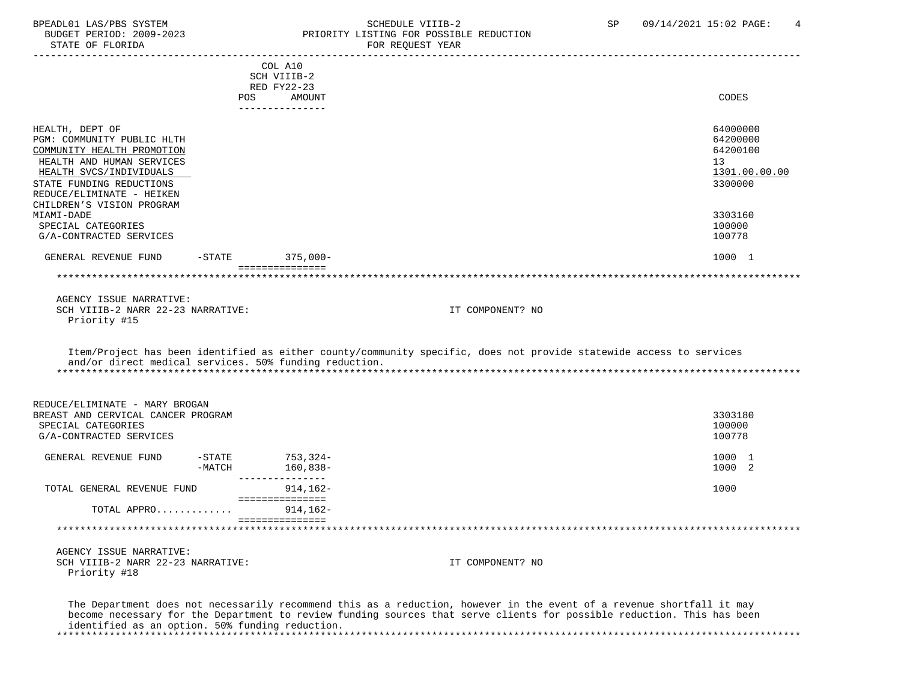## BPEADL01 LAS/PBS SYSTEM SALL SALL SCHEDULE VIIIB-2 SP 09/14/2021 15:02 PAGE: 4 BUDGET PERIOD: 2009-2023 PRIORITY LISTING FOR POSSIBLE REDUCTION

 ----------------------------------------------------------------------------------------------------------------------------------- COL A10 SCH VIIIB-2 RED FY22-23 POS AMOUNT NOTES AND AND A RESERVE AND A RESERVE AND LODGED AND LODGED AND LODGED AND LODGED AND LODGED AND LODGED AT A LODGED AND LODGED AT A LODGED AND LODGED AT A LODGED AND LODGED AT A LODGED AND LODGED AT A LODGED AND --------------- HEALTH, DEPT OF 64000000 PGM: COMMUNITY PUBLIC HLTH 64200000<br>COMMUNITY HEALTH PROMOTION 64200100 COMMUNITY HEALTH PROMOTION HEALTH AND HUMAN SERVICES 13 (1999) 13 (1999) 13 (1999) 13 (1999) 13 (1999) 13 (1999) 13 (1999) 13 (1999) 13 (1999) 13 (1999) 13 (1999) 13 (1999) 13 (1999) 13 (1999) 13 (1999) 13 (1999) 13 (1999) 13 (1999) 13 (1999) 13 (19  $\frac{1301.00}{1300000}$   $\frac{1301.00}{3300000}$ STATE FUNDING REDUCTIONS REDUCE/ELIMINATE - HEIKEN CHILDREN'S VISION PROGRAM MIAMI-DADE 3303160 SPECIAL CATEGORIES 100000 G/A-CONTRACTED SERVICES 100778 GENERAL REVENUE FUND -STATE 375,000- 1000 1 =============== \*\*\*\*\*\*\*\*\*\*\*\*\*\*\*\*\*\*\*\*\*\*\*\*\*\*\*\*\*\*\*\*\*\*\*\*\*\*\*\*\*\*\*\*\*\*\*\*\*\*\*\*\*\*\*\*\*\*\*\*\*\*\*\*\*\*\*\*\*\*\*\*\*\*\*\*\*\*\*\*\*\*\*\*\*\*\*\*\*\*\*\*\*\*\*\*\*\*\*\*\*\*\*\*\*\*\*\*\*\*\*\*\*\*\*\*\*\*\*\*\*\*\*\*\*\*\* AGENCY ISSUE NARRATIVE: SCH VIIIB-2 NARR 22-23 NARRATIVE: IT COMPONENT? NO Priority #15 Item/Project has been identified as either county/community specific, does not provide statewide access to services and/or direct medical services. 50% funding reduction. \*\*\*\*\*\*\*\*\*\*\*\*\*\*\*\*\*\*\*\*\*\*\*\*\*\*\*\*\*\*\*\*\*\*\*\*\*\*\*\*\*\*\*\*\*\*\*\*\*\*\*\*\*\*\*\*\*\*\*\*\*\*\*\*\*\*\*\*\*\*\*\*\*\*\*\*\*\*\*\*\*\*\*\*\*\*\*\*\*\*\*\*\*\*\*\*\*\*\*\*\*\*\*\*\*\*\*\*\*\*\*\*\*\*\*\*\*\*\*\*\*\*\*\*\*\*\* REDUCE/ELIMINATE - MARY BROGAN BREAST AND CERVICAL CANCER PROGRAM 3303180 SPECIAL CATEGORIES 100000 POSTAGORIES 20000 POSTAGORIES 20000 POSTAGORIES 20000 POSTAGORIES G/A-CONTRACTED SERVICES 100778 GENERAL REVENUE FUND -STATE 753,324-<br>-MATCH 160.838- 1000 1 -MATCH 160,838- 1000 2 --------------- TOTAL GENERAL REVENUE FUND 914,162- 1000 =============== TOTAL APPRO............. 914,162- =============== \*\*\*\*\*\*\*\*\*\*\*\*\*\*\*\*\*\*\*\*\*\*\*\*\*\*\*\*\*\*\*\*\*\*\*\*\*\*\*\*\*\*\*\*\*\*\*\*\*\*\*\*\*\*\*\*\*\*\*\*\*\*\*\*\*\*\*\*\*\*\*\*\*\*\*\*\*\*\*\*\*\*\*\*\*\*\*\*\*\*\*\*\*\*\*\*\*\*\*\*\*\*\*\*\*\*\*\*\*\*\*\*\*\*\*\*\*\*\*\*\*\*\*\*\*\*\* AGENCY ISSUE NARRATIVE: SCH VIIIB-2 NARR 22-23 NARRATIVE: IT COMPONENT? NO Priority #18 The Department does not necessarily recommend this as a reduction, however in the event of a revenue shortfall it may become necessary for the Department to review funding sources that serve clients for possible reduction. This has been

identified as an option. 50% funding reduction.

\*\*\*\*\*\*\*\*\*\*\*\*\*\*\*\*\*\*\*\*\*\*\*\*\*\*\*\*\*\*\*\*\*\*\*\*\*\*\*\*\*\*\*\*\*\*\*\*\*\*\*\*\*\*\*\*\*\*\*\*\*\*\*\*\*\*\*\*\*\*\*\*\*\*\*\*\*\*\*\*\*\*\*\*\*\*\*\*\*\*\*\*\*\*\*\*\*\*\*\*\*\*\*\*\*\*\*\*\*\*\*\*\*\*\*\*\*\*\*\*\*\*\*\*\*\*\*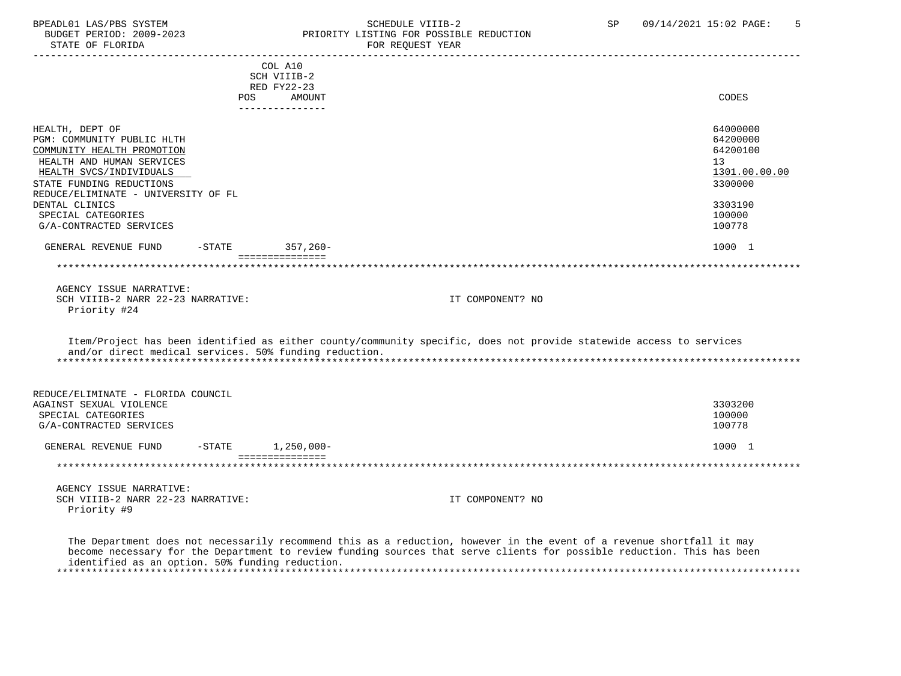## BPEADL01 LAS/PBS SYSTEM SALL SOMEDULE VIIIB-2 SP 09/14/2021 15:02 PAGE: 5 BUDGET PERIOD: 2009-2023 PRIORITY LISTING FOR POSSIBLE REDUCTION

 ----------------------------------------------------------------------------------------------------------------------------------- COL A10 SCH VIIIB-2 RED FY22-23 POS AMOUNT NOTES AND AND A RESERVE AND A RESERVE AND LODGED AND LODGED AND LODGED AND LODGED AND LODGED AND LODGED AT A LODGED AND LODGED AT A LODGED AND LODGED AT A LODGED AND LODGED AT A LODGED AND LODGED AT A LODGED AND --------------- HEALTH, DEPT OF 64000000 PGM: COMMUNITY PUBLIC HLTH 64200000<br>COMMUNITY HEALTH PROMOTION 64200100 COMMUNITY HEALTH PROMOTION HEALTH AND HUMAN SERVICES 13 (1999) 13 (1999) 13 (1999) 13 (1999) 13 (1999) 13 (1999) 13 (1999) 13 (1999) 13 (1999) 13 (1999) 13 (1999) 13 (1999) 13 (1999) 13 (1999) 13 (1999) 13 (1999) 13 (1999) 13 (1999) 13 (1999) 13 (19 HEALTH SVCS/INDIVIDUALS 1301.00.<br>TATE FUNDING REDUCTIONS 3300000 STATE FUNDING REDUCTIONS REDUCE/ELIMINATE - UNIVERSITY OF FL DENTAL CLINICS 3303190 SPECIAL CATEGORIES 100000<br>G/A-CONTRACTED SERVICES 100778 G/A-CONTRACTED SERVICES GENERAL REVENUE FUND -STATE 357,260- 1000 1 and 357,260- 1000 1 =============== \*\*\*\*\*\*\*\*\*\*\*\*\*\*\*\*\*\*\*\*\*\*\*\*\*\*\*\*\*\*\*\*\*\*\*\*\*\*\*\*\*\*\*\*\*\*\*\*\*\*\*\*\*\*\*\*\*\*\*\*\*\*\*\*\*\*\*\*\*\*\*\*\*\*\*\*\*\*\*\*\*\*\*\*\*\*\*\*\*\*\*\*\*\*\*\*\*\*\*\*\*\*\*\*\*\*\*\*\*\*\*\*\*\*\*\*\*\*\*\*\*\*\*\*\*\*\* AGENCY ISSUE NARRATIVE: SCH VIIIB-2 NARR 22-23 NARRATIVE: IT COMPONENT? NO Priority #24 Item/Project has been identified as either county/community specific, does not provide statewide access to services and/or direct medical services. 50% funding reduction. \*\*\*\*\*\*\*\*\*\*\*\*\*\*\*\*\*\*\*\*\*\*\*\*\*\*\*\*\*\*\*\*\*\*\*\*\*\*\*\*\*\*\*\*\*\*\*\*\*\*\*\*\*\*\*\*\*\*\*\*\*\*\*\*\*\*\*\*\*\*\*\*\*\*\*\*\*\*\*\*\*\*\*\*\*\*\*\*\*\*\*\*\*\*\*\*\*\*\*\*\*\*\*\*\*\*\*\*\*\*\*\*\*\*\*\*\*\*\*\*\*\*\*\*\*\*\* REDUCE/ELIMINATE - FLORIDA COUNCIL AGAINST SEXUAL VIOLENCE 3303200 SPECIAL CATEGORIES 100000 POSTAGORIES 20000 POSTAGORIES 20000 POSTAGORIES 20000 POSTAGORIES G/A-CONTRACTED SERVICES 100778 GENERAL REVENUE FUND -STATE 1,250,000- 1,250 and 1000 1 =============== \*\*\*\*\*\*\*\*\*\*\*\*\*\*\*\*\*\*\*\*\*\*\*\*\*\*\*\*\*\*\*\*\*\*\*\*\*\*\*\*\*\*\*\*\*\*\*\*\*\*\*\*\*\*\*\*\*\*\*\*\*\*\*\*\*\*\*\*\*\*\*\*\*\*\*\*\*\*\*\*\*\*\*\*\*\*\*\*\*\*\*\*\*\*\*\*\*\*\*\*\*\*\*\*\*\*\*\*\*\*\*\*\*\*\*\*\*\*\*\*\*\*\*\*\*\*\* AGENCY ISSUE NARRATIVE: SCH VIIIB-2 NARR 22-23 NARRATIVE: IT COMPONENT? NO Priority #9

 The Department does not necessarily recommend this as a reduction, however in the event of a revenue shortfall it may become necessary for the Department to review funding sources that serve clients for possible reduction. This has been identified as an option. 50% funding reduction. \*\*\*\*\*\*\*\*\*\*\*\*\*\*\*\*\*\*\*\*\*\*\*\*\*\*\*\*\*\*\*\*\*\*\*\*\*\*\*\*\*\*\*\*\*\*\*\*\*\*\*\*\*\*\*\*\*\*\*\*\*\*\*\*\*\*\*\*\*\*\*\*\*\*\*\*\*\*\*\*\*\*\*\*\*\*\*\*\*\*\*\*\*\*\*\*\*\*\*\*\*\*\*\*\*\*\*\*\*\*\*\*\*\*\*\*\*\*\*\*\*\*\*\*\*\*\*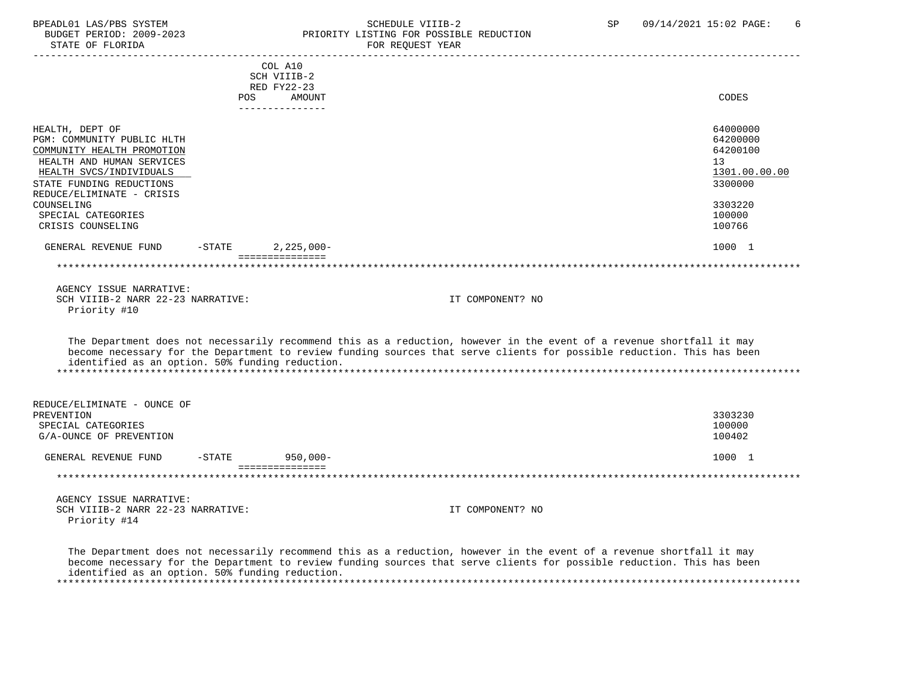# BPEADL01 LAS/PBS SYSTEM SALL STRING SCHEDULE VIIIB-2 SCHEDULE VIIIB-2 SP 09/14/2021 15:02 PAGE: 6<br>BUDGET PERIOD: 2009-2023 SP PRIORITY LISTING FOR POSSIBLE REDUCTION PRIORITY LISTING FOR POSSIBLE REDUCTION<br>FOR REQUEST YEAR

|                                                      |            | COL A10                         |                                                                                                                        |                     |
|------------------------------------------------------|------------|---------------------------------|------------------------------------------------------------------------------------------------------------------------|---------------------|
|                                                      |            | SCH VIIIB-2                     |                                                                                                                        |                     |
|                                                      | <b>POS</b> | RED FY22-23<br>AMOUNT           |                                                                                                                        | <b>CODES</b>        |
|                                                      |            | ---------------                 |                                                                                                                        |                     |
|                                                      |            |                                 |                                                                                                                        |                     |
| HEALTH, DEPT OF                                      |            |                                 |                                                                                                                        | 64000000            |
| PGM: COMMUNITY PUBLIC HLTH                           |            |                                 |                                                                                                                        | 64200000            |
| COMMUNITY HEALTH PROMOTION                           |            |                                 |                                                                                                                        | 64200100            |
| HEALTH AND HUMAN SERVICES<br>HEALTH SVCS/INDIVIDUALS |            |                                 |                                                                                                                        | 13<br>1301.00.00.00 |
| STATE FUNDING REDUCTIONS                             |            |                                 |                                                                                                                        | 3300000             |
| REDUCE/ELIMINATE - CRISIS                            |            |                                 |                                                                                                                        |                     |
| COUNSELING                                           |            |                                 |                                                                                                                        | 3303220             |
| SPECIAL CATEGORIES                                   |            |                                 |                                                                                                                        | 100000              |
| CRISIS COUNSELING                                    |            |                                 |                                                                                                                        | 100766              |
|                                                      |            |                                 |                                                                                                                        |                     |
| GENERAL REVENUE FUND                                 | $-$ STATE  | $2,225,000-$<br>=============== |                                                                                                                        | 1000 1              |
|                                                      |            |                                 |                                                                                                                        |                     |
|                                                      |            |                                 |                                                                                                                        |                     |
| AGENCY ISSUE NARRATIVE:                              |            |                                 |                                                                                                                        |                     |
| SCH VIIIB-2 NARR 22-23 NARRATIVE:                    |            |                                 | IT COMPONENT? NO                                                                                                       |                     |
| Priority #10                                         |            |                                 |                                                                                                                        |                     |
|                                                      |            |                                 |                                                                                                                        |                     |
|                                                      |            |                                 | The Department does not necessarily recommend this as a reduction, however in the event of a revenue shortfall it may  |                     |
|                                                      |            |                                 | become necessary for the Department to review funding sources that serve clients for possible reduction. This has been |                     |
| identified as an option. 50% funding reduction.      |            |                                 |                                                                                                                        |                     |
|                                                      |            |                                 |                                                                                                                        |                     |
|                                                      |            |                                 |                                                                                                                        |                     |
| REDUCE/ELIMINATE - OUNCE OF                          |            |                                 |                                                                                                                        |                     |
| PREVENTION                                           |            |                                 |                                                                                                                        | 3303230             |
| SPECIAL CATEGORIES                                   |            |                                 |                                                                                                                        | 100000              |
| G/A-OUNCE OF PREVENTION                              |            |                                 |                                                                                                                        | 100402              |
|                                                      |            |                                 |                                                                                                                        |                     |
| GENERAL REVENUE FUND                                 | $-$ STATE  | $950,000 -$                     |                                                                                                                        | 1000 1              |
|                                                      |            | ===============                 |                                                                                                                        |                     |
|                                                      |            |                                 |                                                                                                                        |                     |
| AGENCY ISSUE NARRATIVE:                              |            |                                 |                                                                                                                        |                     |
| SCH VIIIB-2 NARR 22-23 NARRATIVE:                    |            |                                 | IT COMPONENT? NO                                                                                                       |                     |
| Priority #14                                         |            |                                 |                                                                                                                        |                     |
|                                                      |            |                                 |                                                                                                                        |                     |
|                                                      |            |                                 |                                                                                                                        |                     |
|                                                      |            |                                 | The Department does not necessarily recommend this as a reduction, however in the event of a revenue shortfall it may  |                     |

 become necessary for the Department to review funding sources that serve clients for possible reduction. This has been identified as an option. 50% funding reduction. \*\*\*\*\*\*\*\*\*\*\*\*\*\*\*\*\*\*\*\*\*\*\*\*\*\*\*\*\*\*\*\*\*\*\*\*\*\*\*\*\*\*\*\*\*\*\*\*\*\*\*\*\*\*\*\*\*\*\*\*\*\*\*\*\*\*\*\*\*\*\*\*\*\*\*\*\*\*\*\*\*\*\*\*\*\*\*\*\*\*\*\*\*\*\*\*\*\*\*\*\*\*\*\*\*\*\*\*\*\*\*\*\*\*\*\*\*\*\*\*\*\*\*\*\*\*\*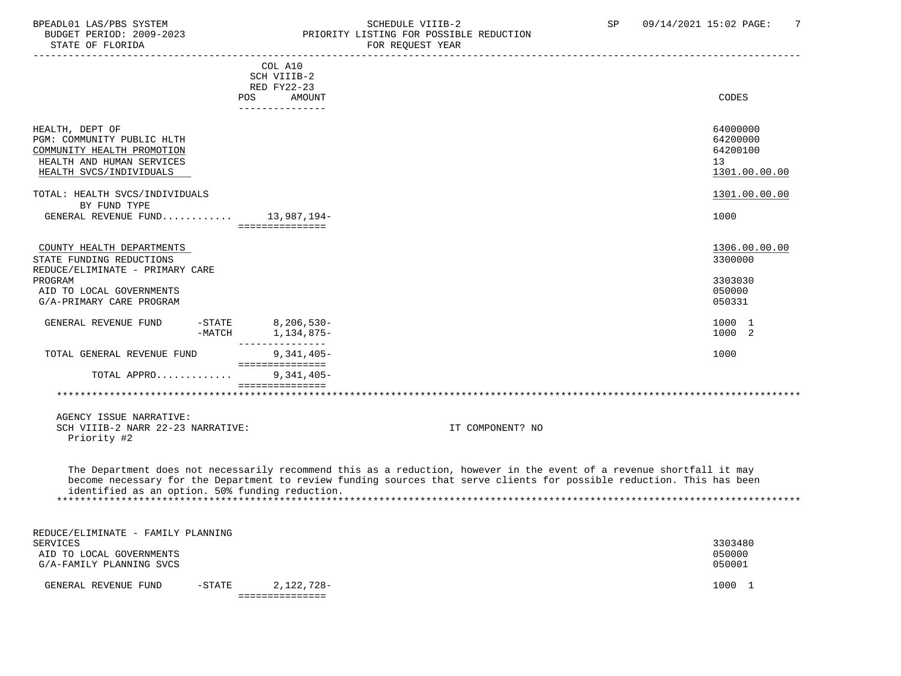#### BPEADL01 LAS/PBS SYSTEM SCHEDULE VIIIB-2 SCHEDULE VIIIB-2 SP 09/14/2021 15:02 PAGE: 7<br>BUDGET PERIOD: 2009-2023 PRIORITY LISTING FOR POSSIBLE REDUCTION BUDGET PERIOD: 2009-2023 PRIORITY LISTING FOR POSSIBLE REDUCTION<br>STATE OF FLORIDA POR REQUEST YEAR FOR REQUEST YEAR

|                                                                                                                                     | POS                  | COL A10<br>SCH VIIIB-2<br>RED FY22-23<br>AMOUNT |                                                                                                                                                                                                                                                 | CODES                                                   |
|-------------------------------------------------------------------------------------------------------------------------------------|----------------------|-------------------------------------------------|-------------------------------------------------------------------------------------------------------------------------------------------------------------------------------------------------------------------------------------------------|---------------------------------------------------------|
|                                                                                                                                     |                      | ---------------                                 |                                                                                                                                                                                                                                                 |                                                         |
| HEALTH, DEPT OF<br>PGM: COMMUNITY PUBLIC HLTH<br>COMMUNITY HEALTH PROMOTION<br>HEALTH AND HUMAN SERVICES<br>HEALTH SVCS/INDIVIDUALS |                      |                                                 |                                                                                                                                                                                                                                                 | 64000000<br>64200000<br>64200100<br>13<br>1301.00.00.00 |
| TOTAL: HEALTH SVCS/INDIVIDUALS                                                                                                      |                      |                                                 |                                                                                                                                                                                                                                                 | 1301.00.00.00                                           |
| BY FUND TYPE<br>GENERAL REVENUE FUND $13,987,194-$                                                                                  |                      | ===============                                 |                                                                                                                                                                                                                                                 | 1000                                                    |
| COUNTY HEALTH DEPARTMENTS<br>STATE FUNDING REDUCTIONS<br>REDUCE/ELIMINATE - PRIMARY CARE                                            |                      |                                                 |                                                                                                                                                                                                                                                 | 1306.00.00.00<br>3300000                                |
| PROGRAM<br>AID TO LOCAL GOVERNMENTS<br>G/A-PRIMARY CARE PROGRAM                                                                     |                      |                                                 |                                                                                                                                                                                                                                                 | 3303030<br>050000<br>050331                             |
| GENERAL REVENUE FUND                                                                                                                | $-STATE$<br>$-MATCH$ | 8,206,530-<br>1,134,875-<br>---------------     |                                                                                                                                                                                                                                                 | 1000 1<br>1000 2                                        |
| TOTAL GENERAL REVENUE FUND                                                                                                          |                      | $9,341,405-$<br>===============                 |                                                                                                                                                                                                                                                 | 1000                                                    |
| TOTAL APPRO                                                                                                                         |                      | $9,341,405-$<br>===============                 |                                                                                                                                                                                                                                                 |                                                         |
|                                                                                                                                     |                      |                                                 |                                                                                                                                                                                                                                                 |                                                         |
| AGENCY ISSUE NARRATIVE:<br>SCH VIIIB-2 NARR 22-23 NARRATIVE:<br>Priority #2                                                         |                      |                                                 | IT COMPONENT? NO                                                                                                                                                                                                                                |                                                         |
| identified as an option. 50% funding reduction.                                                                                     |                      |                                                 | The Department does not necessarily recommend this as a reduction, however in the event of a revenue shortfall it may<br>become necessary for the Department to review funding sources that serve clients for possible reduction. This has been |                                                         |
| REDUCE/ELIMINATE - FAMILY PLANNING                                                                                                  |                      |                                                 |                                                                                                                                                                                                                                                 |                                                         |
| SERVICES<br>AID TO LOCAL GOVERNMENTS<br>G/A-FAMILY PLANNING SVCS                                                                    |                      |                                                 |                                                                                                                                                                                                                                                 | 3303480<br>050000<br>050001                             |
| GENERAL REVENUE FUND                                                                                                                | $-STATE$             | 2,122,728-<br>===============                   |                                                                                                                                                                                                                                                 | 1000 1                                                  |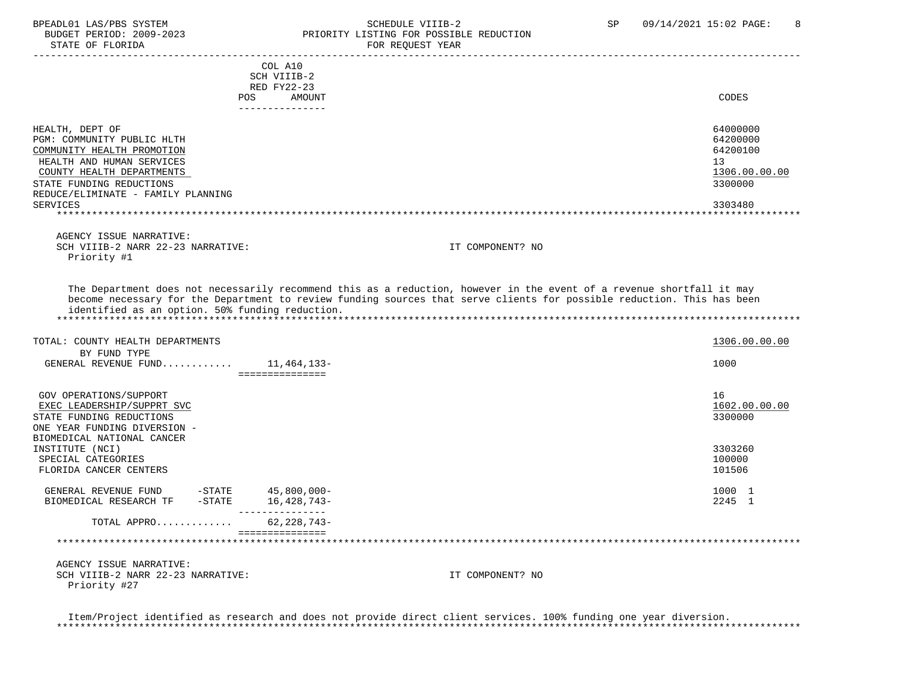#### BPEADL01 LAS/PBS SYSTEM SCHEDULE VIIIB-2 SCHEDULE VIIIB-2 SP 09/14/2021 15:02 PAGE: 8 BUDGET PERIOD: 2009-2023<br>
STATE OF FLORIDA<br>
FOR REOUEST YEAR FOR REQUEST YEAR

|                                    | COL A10<br>SCH VIIIB-2 |                  |               |
|------------------------------------|------------------------|------------------|---------------|
|                                    | RED FY22-23            |                  |               |
| <b>POS</b>                         | AMOUNT                 |                  | CODES         |
|                                    | --------------         |                  |               |
|                                    |                        |                  |               |
| HEALTH, DEPT OF                    |                        |                  | 64000000      |
| PGM: COMMUNITY PUBLIC HLTH         |                        |                  | 64200000      |
| COMMUNITY HEALTH PROMOTION         |                        |                  | 64200100      |
| HEALTH AND HUMAN SERVICES          |                        |                  | 13            |
| COUNTY HEALTH DEPARTMENTS          |                        |                  | 1306.00.00.00 |
| STATE FUNDING REDUCTIONS           |                        |                  | 3300000       |
| REDUCE/ELIMINATE - FAMILY PLANNING |                        |                  |               |
| SERVICES                           |                        |                  | 3303480       |
|                                    |                        |                  |               |
|                                    |                        |                  |               |
| AGENCY ISSUE NARRATIVE:            |                        |                  |               |
| SCH VIIIB-2 NARR 22-23 NARRATIVE:  |                        | IT COMPONENT? NO |               |
| Priority #1                        |                        |                  |               |
|                                    |                        |                  |               |
|                                    |                        |                  |               |

 The Department does not necessarily recommend this as a reduction, however in the event of a revenue shortfall it may become necessary for the Department to review funding sources that serve clients for possible reduction. This has been identified as an option. 50% funding reduction. \*\*\*\*\*\*\*\*\*\*\*\*\*\*\*\*\*\*\*\*\*\*\*\*\*\*\*\*\*\*\*\*\*\*\*\*\*\*\*\*\*\*\*\*\*\*\*\*\*\*\*\*\*\*\*\*\*\*\*\*\*\*\*\*\*\*\*\*\*\*\*\*\*\*\*\*\*\*\*\*\*\*\*\*\*\*\*\*\*\*\*\*\*\*\*\*\*\*\*\*\*\*\*\*\*\*\*\*\*\*\*\*\*\*\*\*\*\*\*\*\*\*\*\*\*\*\*

| TOTAL: COUNTY HEALTH DEPARTMENTS                                                                                                               |                                 | 1306.00.00.00                  |
|------------------------------------------------------------------------------------------------------------------------------------------------|---------------------------------|--------------------------------|
| BY FUND TYPE<br>GENERAL REVENUE FUND                                                                                                           | 11,464,133–                     | 1000                           |
| GOV OPERATIONS/SUPPORT<br>EXEC LEADERSHIP/SUPPRT SVC<br>STATE FUNDING REDUCTIONS<br>ONE YEAR FUNDING DIVERSION -<br>BIOMEDICAL NATIONAL CANCER |                                 | 16<br>1602.00.00.00<br>3300000 |
| INSTITUTE (NCI)<br>SPECIAL CATEGORIES<br>FLORIDA CANCER CENTERS                                                                                |                                 | 3303260<br>100000<br>101506    |
| GENERAL REVENUE FUND<br>-STATE<br>BIOMEDICAL RESEARCH TF<br>$-$ STATE                                                                          | 45,800,000-<br>16,428,743-      | 1000 1<br>2245 1               |
| TOTAL APPRO                                                                                                                                    | 62,228,743-<br>---------------- |                                |
|                                                                                                                                                |                                 |                                |

 AGENCY ISSUE NARRATIVE: SCH VIIIB-2 NARR 22-23 NARRATIVE: IT COMPONENT? NO Priority #27

 Item/Project identified as research and does not provide direct client services. 100% funding one year diversion. \*\*\*\*\*\*\*\*\*\*\*\*\*\*\*\*\*\*\*\*\*\*\*\*\*\*\*\*\*\*\*\*\*\*\*\*\*\*\*\*\*\*\*\*\*\*\*\*\*\*\*\*\*\*\*\*\*\*\*\*\*\*\*\*\*\*\*\*\*\*\*\*\*\*\*\*\*\*\*\*\*\*\*\*\*\*\*\*\*\*\*\*\*\*\*\*\*\*\*\*\*\*\*\*\*\*\*\*\*\*\*\*\*\*\*\*\*\*\*\*\*\*\*\*\*\*\*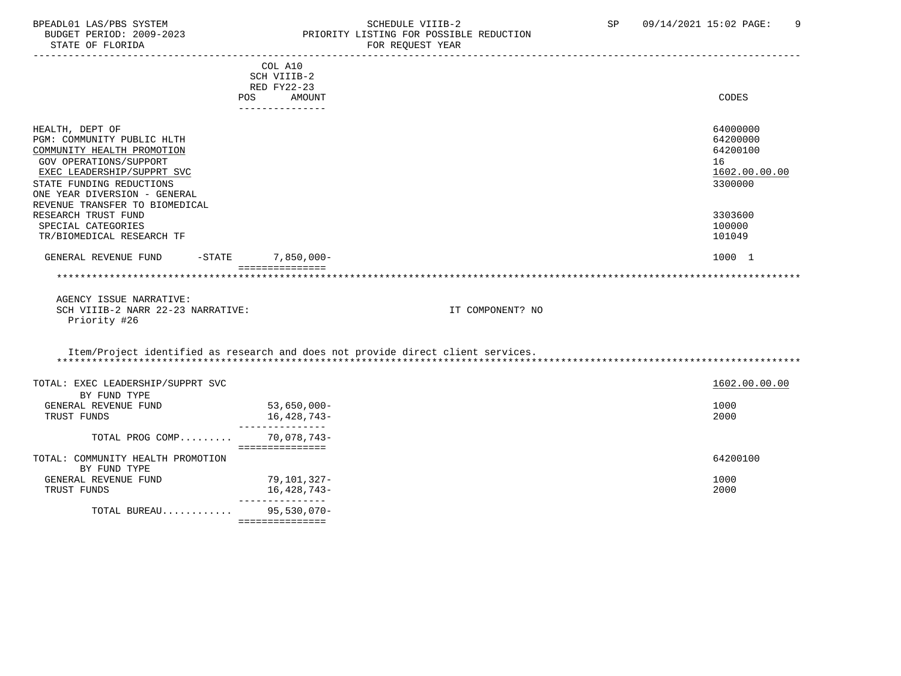#### BPEADL01 LAS/PBS SYSTEM SALLE SOME SCHEDULE VIIIB-2 SCHEDULE SOME SP 09/14/2021 15:02 PAGE: 9 BUDGET PERIOD: 2009-2023 PRIORITY LISTING FOR POSSIBLE REDUCTION FOR REQUEST YEAR

| COL A10<br>SCH VIIIB-2<br>RED FY22-23<br>POS AMOUNT<br>--------------<br>HEALTH, DEPT OF | CODES                |
|------------------------------------------------------------------------------------------|----------------------|
|                                                                                          |                      |
|                                                                                          |                      |
|                                                                                          |                      |
|                                                                                          |                      |
|                                                                                          |                      |
| PGM: COMMUNITY PUBLIC HLTH                                                               | 64000000<br>64200000 |
|                                                                                          | 64200100             |
| COMMUNITY HEALTH PROMOTION                                                               |                      |
| GOV OPERATIONS/SUPPORT<br>16                                                             |                      |
| EXEC LEADERSHIP/SUPPRT SVC                                                               | 1602.00.00.00        |
| STATE FUNDING REDUCTIONS                                                                 | 3300000              |
| ONE YEAR DIVERSION - GENERAL                                                             |                      |
| REVENUE TRANSFER TO BIOMEDICAL<br>RESEARCH TRUST FUND                                    | 3303600              |
| SPECIAL CATEGORIES                                                                       | 100000               |
| TR/BIOMEDICAL RESEARCH TF                                                                | 101049               |
|                                                                                          |                      |
| -STATE 7,850,000-<br>GENERAL REVENUE FUND                                                | 1000 1               |
| ===============                                                                          |                      |
|                                                                                          |                      |
|                                                                                          |                      |
|                                                                                          |                      |
| AGENCY ISSUE NARRATIVE:                                                                  |                      |
| SCH VIIIB-2 NARR 22-23 NARRATIVE:<br>IT COMPONENT? NO                                    |                      |
| Priority #26                                                                             |                      |
|                                                                                          |                      |
| Item/Project identified as research and does not provide direct client services.         |                      |
|                                                                                          |                      |
|                                                                                          |                      |
| TOTAL: EXEC LEADERSHIP/SUPPRT SVC                                                        | 1602.00.00.00        |
| BY FUND TYPE                                                                             |                      |
| 53,650,000-<br>GENERAL REVENUE FUND                                                      | 1000                 |
| 16,428,743-<br>TRUST FUNDS<br>----------------                                           | 2000                 |
| TOTAL PROG COMP<br>70,078,743-                                                           |                      |
| ===============                                                                          |                      |
| TOTAL: COMMUNITY HEALTH PROMOTION                                                        | 64200100             |
| BY FUND TYPE                                                                             |                      |
| GENERAL REVENUE FUND<br>79,101,327-                                                      | 1000                 |
| 16,428,743-<br>TRUST FUNDS                                                               | 2000                 |
| ---------------<br>95,530,070-<br>TOTAL BUREAU                                           |                      |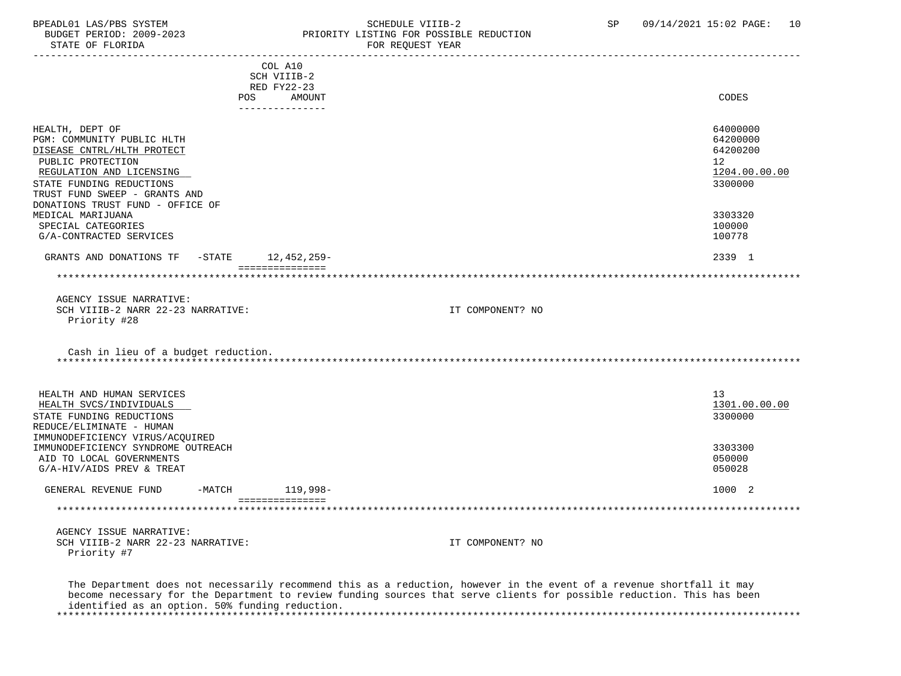#### BPEADL01 LAS/PBS SYSTEM SALLE STREDULE VIIIB-2 SCHEDULE VIIIB-2 SP 09/14/2021 15:02 PAGE: 10 BUDGET PERIOD: 2009-2023 PRIORITY LISTING FOR POSSIBLE REDUCTION<br>FOR REQUEST YEAR FOR REQUEST YEAR

|                                                                       |                    | COL A10                   |                                                                                                                                                                                                                                                 |                             |
|-----------------------------------------------------------------------|--------------------|---------------------------|-------------------------------------------------------------------------------------------------------------------------------------------------------------------------------------------------------------------------------------------------|-----------------------------|
|                                                                       |                    | SCH VIIIB-2               |                                                                                                                                                                                                                                                 |                             |
|                                                                       |                    | RED FY22-23               |                                                                                                                                                                                                                                                 |                             |
|                                                                       | POS                | AMOUNT<br>--------------- |                                                                                                                                                                                                                                                 | <b>CODES</b>                |
|                                                                       |                    |                           |                                                                                                                                                                                                                                                 |                             |
| HEALTH, DEPT OF<br>PGM: COMMUNITY PUBLIC HLTH                         |                    |                           |                                                                                                                                                                                                                                                 | 64000000<br>64200000        |
| DISEASE CNTRL/HLTH PROTECT<br>PUBLIC PROTECTION                       |                    |                           |                                                                                                                                                                                                                                                 | 64200200<br>12 <sup>°</sup> |
| REGULATION AND LICENSING                                              |                    |                           |                                                                                                                                                                                                                                                 | 1204.00.00.00               |
| STATE FUNDING REDUCTIONS                                              |                    |                           |                                                                                                                                                                                                                                                 | 3300000                     |
| TRUST FUND SWEEP - GRANTS AND                                         |                    |                           |                                                                                                                                                                                                                                                 |                             |
| DONATIONS TRUST FUND - OFFICE OF<br>MEDICAL MARIJUANA                 |                    |                           |                                                                                                                                                                                                                                                 | 3303320                     |
| SPECIAL CATEGORIES                                                    |                    |                           |                                                                                                                                                                                                                                                 | 100000                      |
| G/A-CONTRACTED SERVICES                                               |                    |                           |                                                                                                                                                                                                                                                 | 100778                      |
| GRANTS AND DONATIONS TF                                               | -STATE 12,452,259- |                           |                                                                                                                                                                                                                                                 | 2339 1                      |
|                                                                       |                    | ===============           |                                                                                                                                                                                                                                                 |                             |
|                                                                       |                    |                           |                                                                                                                                                                                                                                                 |                             |
| AGENCY ISSUE NARRATIVE:                                               |                    |                           |                                                                                                                                                                                                                                                 |                             |
| SCH VIIIB-2 NARR 22-23 NARRATIVE:                                     |                    |                           | IT COMPONENT? NO                                                                                                                                                                                                                                |                             |
| Priority #28                                                          |                    |                           |                                                                                                                                                                                                                                                 |                             |
| Cash in lieu of a budget reduction.                                   |                    |                           |                                                                                                                                                                                                                                                 |                             |
| HEALTH AND HUMAN SERVICES                                             |                    |                           |                                                                                                                                                                                                                                                 | 13                          |
| HEALTH SVCS/INDIVIDUALS                                               |                    |                           |                                                                                                                                                                                                                                                 | 1301.00.00.00               |
| STATE FUNDING REDUCTIONS                                              |                    |                           |                                                                                                                                                                                                                                                 | 3300000                     |
| REDUCE/ELIMINATE - HUMAN                                              |                    |                           |                                                                                                                                                                                                                                                 |                             |
| IMMUNODEFICIENCY VIRUS/ACQUIRED<br>IMMUNODEFICIENCY SYNDROME OUTREACH |                    |                           |                                                                                                                                                                                                                                                 | 3303300                     |
| AID TO LOCAL GOVERNMENTS                                              |                    |                           |                                                                                                                                                                                                                                                 | 050000                      |
| G/A-HIV/AIDS PREV & TREAT                                             |                    |                           |                                                                                                                                                                                                                                                 | 050028                      |
|                                                                       |                    |                           |                                                                                                                                                                                                                                                 |                             |
| GENERAL REVENUE FUND                                                  | $-MATCH$           | $119,998-$                |                                                                                                                                                                                                                                                 | 1000 2                      |
|                                                                       |                    | ===============           |                                                                                                                                                                                                                                                 | *************************** |
|                                                                       |                    |                           |                                                                                                                                                                                                                                                 |                             |
| AGENCY ISSUE NARRATIVE:                                               |                    |                           |                                                                                                                                                                                                                                                 |                             |
| SCH VIIIB-2 NARR 22-23 NARRATIVE:<br>Priority #7                      |                    |                           | IT COMPONENT? NO                                                                                                                                                                                                                                |                             |
|                                                                       |                    |                           |                                                                                                                                                                                                                                                 |                             |
|                                                                       |                    |                           | The Department does not necessarily recommend this as a reduction, however in the event of a revenue shortfall it may<br>become necessary for the Department to review funding sources that serve clients for possible reduction. This has been |                             |

 identified as an option. 50% funding reduction. \*\*\*\*\*\*\*\*\*\*\*\*\*\*\*\*\*\*\*\*\*\*\*\*\*\*\*\*\*\*\*\*\*\*\*\*\*\*\*\*\*\*\*\*\*\*\*\*\*\*\*\*\*\*\*\*\*\*\*\*\*\*\*\*\*\*\*\*\*\*\*\*\*\*\*\*\*\*\*\*\*\*\*\*\*\*\*\*\*\*\*\*\*\*\*\*\*\*\*\*\*\*\*\*\*\*\*\*\*\*\*\*\*\*\*\*\*\*\*\*\*\*\*\*\*\*\*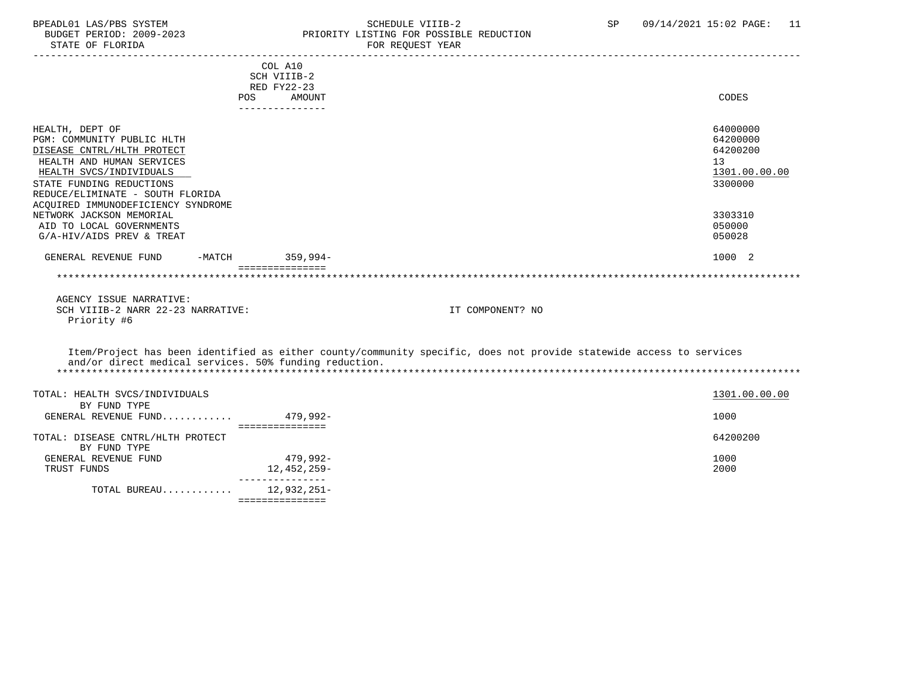### BPEADL01 LAS/PBS SYSTEM SALL SOME SCHEDULE VIIIB-2 SCHEDULE SP 09/14/2021 15:02 PAGE: 11 BUDGET PERIOD: 2009-2023 PRIORITY LISTING FOR POSSIBLE REDUCTION

|                                                        | COL A10         |                                                                                                                     |               |
|--------------------------------------------------------|-----------------|---------------------------------------------------------------------------------------------------------------------|---------------|
|                                                        | SCH VIIIB-2     |                                                                                                                     |               |
|                                                        | RED FY22-23     |                                                                                                                     |               |
|                                                        | POS<br>AMOUNT   |                                                                                                                     | CODES         |
|                                                        | --------------- |                                                                                                                     |               |
| HEALTH, DEPT OF                                        |                 |                                                                                                                     | 64000000      |
| PGM: COMMUNITY PUBLIC HLTH                             |                 |                                                                                                                     | 64200000      |
| DISEASE CNTRL/HLTH PROTECT                             |                 |                                                                                                                     | 64200200      |
| HEALTH AND HUMAN SERVICES                              |                 | 13                                                                                                                  |               |
| HEALTH SVCS/INDIVIDUALS                                |                 |                                                                                                                     | 1301.00.00.00 |
| STATE FUNDING REDUCTIONS                               |                 |                                                                                                                     | 3300000       |
| REDUCE/ELIMINATE - SOUTH FLORIDA                       |                 |                                                                                                                     |               |
| ACQUIRED IMMUNODEFICIENCY SYNDROME                     |                 |                                                                                                                     |               |
| NETWORK JACKSON MEMORIAL                               |                 |                                                                                                                     | 3303310       |
| AID TO LOCAL GOVERNMENTS                               |                 |                                                                                                                     | 050000        |
| G/A-HIV/AIDS PREV & TREAT                              |                 |                                                                                                                     | 050028        |
| GENERAL REVENUE FUND<br>$-MATCH$                       | 359,994-        |                                                                                                                     | 1000 2        |
|                                                        | =============== |                                                                                                                     |               |
|                                                        |                 |                                                                                                                     |               |
| AGENCY ISSUE NARRATIVE:                                |                 |                                                                                                                     |               |
| SCH VIIIB-2 NARR 22-23 NARRATIVE:                      |                 | IT COMPONENT? NO                                                                                                    |               |
| Priority #6                                            |                 |                                                                                                                     |               |
|                                                        |                 |                                                                                                                     |               |
|                                                        |                 | Item/Project has been identified as either county/community specific, does not provide statewide access to services |               |
| and/or direct medical services. 50% funding reduction. |                 |                                                                                                                     |               |
|                                                        |                 |                                                                                                                     |               |
|                                                        |                 |                                                                                                                     |               |
| TOTAL: HEALTH SVCS/INDIVIDUALS                         |                 |                                                                                                                     | 1301.00.00.00 |
| BY FUND TYPE                                           |                 |                                                                                                                     |               |
| GENERAL REVENUE FUND $479.992-$                        |                 |                                                                                                                     | 1000          |
|                                                        | =============== |                                                                                                                     |               |
| TOTAL: DISEASE CNTRL/HLTH PROTECT                      |                 |                                                                                                                     | 64200200      |
| BY FUND TYPE                                           |                 |                                                                                                                     |               |
| GENERAL REVENUE FUND                                   | 479,992-        |                                                                                                                     | 1000          |
| TRUST FUNDS                                            | 12,452,259-     |                                                                                                                     | 2000          |
| TOTAL BUREAU $12,932,251-$                             | --------------- |                                                                                                                     |               |
|                                                        | =============== |                                                                                                                     |               |
|                                                        |                 |                                                                                                                     |               |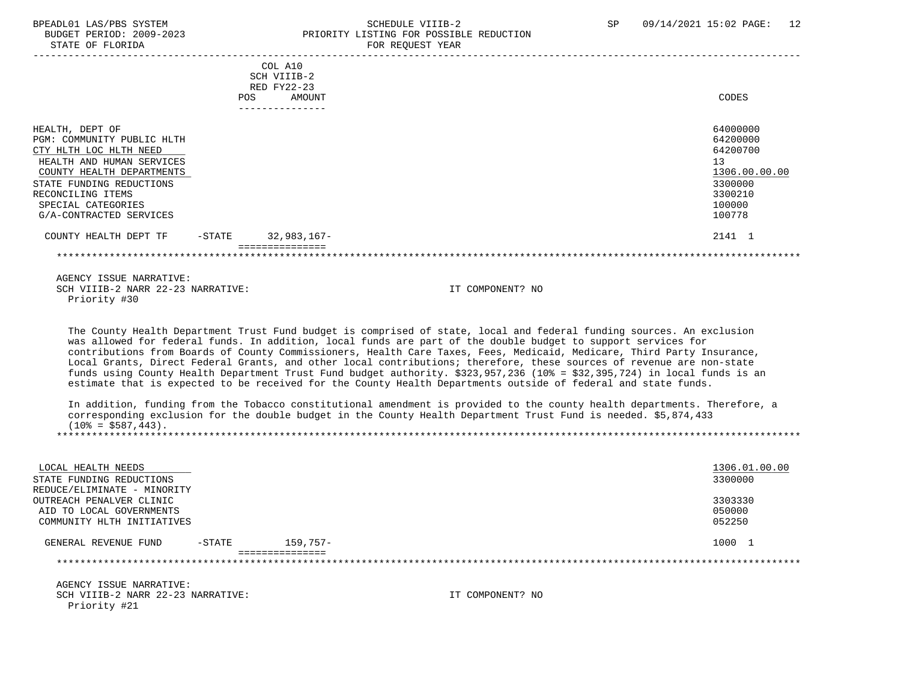#### BPEADL01 LAS/PBS SYSTEM SOHEDULE VIIIB-2 SCHEDULE VIIIB-2 SP 09/14/2021 15:02 PAGE: 12 BUDGET PERIOD: 2009-2023 PRIORITY LISTING FOR POSSIBLE REDUCTION<br>STATE OF FLORIDA POR REOUEST YEAR FOR REQUEST YEAR

|                            |            | COL A10         |               |
|----------------------------|------------|-----------------|---------------|
|                            |            | SCH VIIIB-2     |               |
|                            |            | RED FY22-23     |               |
|                            | <b>POS</b> | AMOUNT          | CODES         |
|                            |            | --------------- |               |
| HEALTH, DEPT OF            |            |                 | 64000000      |
| PGM: COMMUNITY PUBLIC HLTH |            |                 | 64200000      |
| CTY HLTH LOC HLTH NEED     |            |                 | 64200700      |
| HEALTH AND HUMAN SERVICES  |            |                 | 13            |
| COUNTY HEALTH DEPARTMENTS  |            |                 | 1306.00.00.00 |
| STATE FUNDING REDUCTIONS   |            |                 | 3300000       |
| RECONCILING ITEMS          |            |                 | 3300210       |
| SPECIAL CATEGORIES         |            |                 | 100000        |
| G/A-CONTRACTED SERVICES    |            |                 | 100778        |
| COUNTY HEALTH DEPT TF      | -STATE     | $32,983,167-$   | 2141 1        |
|                            |            | =============   |               |
|                            |            |                 |               |
| AGENCY ISSUE NARRATIVE:    |            |                 |               |

SCH VIIIB-2 NARR 22-23 NARRATIVE: IT COMPONENT? NO Priority #30

 The County Health Department Trust Fund budget is comprised of state, local and federal funding sources. An exclusion was allowed for federal funds. In addition, local funds are part of the double budget to support services for contributions from Boards of County Commissioners, Health Care Taxes, Fees, Medicaid, Medicare, Third Party Insurance, Local Grants, Direct Federal Grants, and other local contributions; therefore, these sources of revenue are non-state funds using County Health Department Trust Fund budget authority. \$323,957,236 (10% = \$32,395,724) in local funds is an estimate that is expected to be received for the County Health Departments outside of federal and state funds.

 In addition, funding from the Tobacco constitutional amendment is provided to the county health departments. Therefore, a corresponding exclusion for the double budget in the County Health Department Trust Fund is needed. \$5,874,433  $(10\% = $587, 443)$ . \*\*\*\*\*\*\*\*\*\*\*\*\*\*\*\*\*\*\*\*\*\*\*\*\*\*\*\*\*\*\*\*\*\*\*\*\*\*\*\*\*\*\*\*\*\*\*\*\*\*\*\*\*\*\*\*\*\*\*\*\*\*\*\*\*\*\*\*\*\*\*\*\*\*\*\*\*\*\*\*\*\*\*\*\*\*\*\*\*\*\*\*\*\*\*\*\*\*\*\*\*\*\*\*\*\*\*\*\*\*\*\*\*\*\*\*\*\*\*\*\*\*\*\*\*\*\*

| LOCAL HEALTH NEEDS<br>STATE FUNDING REDUCTIONS |           |                 | 1306.01.00.00<br>3300000 |
|------------------------------------------------|-----------|-----------------|--------------------------|
| REDUCE/ELIMINATE - MINORITY                    |           |                 |                          |
| OUTREACH PENALVER CLINIC                       |           |                 | 3303330                  |
| AID TO LOCAL GOVERNMENTS                       |           |                 | 050000                   |
| COMMUNITY HLTH INITIATIVES                     |           |                 | 052250                   |
| GENERAL REVENUE FUND                           | $-$ STATE | $159.757-$      | 1000 1                   |
|                                                |           | =============== |                          |
| AGENCY ISSUE NARRATIVE:                        |           |                 |                          |

SCH VIIIB-2 NARR 22-23 NARRATIVE: IT COMPONENT? NO Priority #21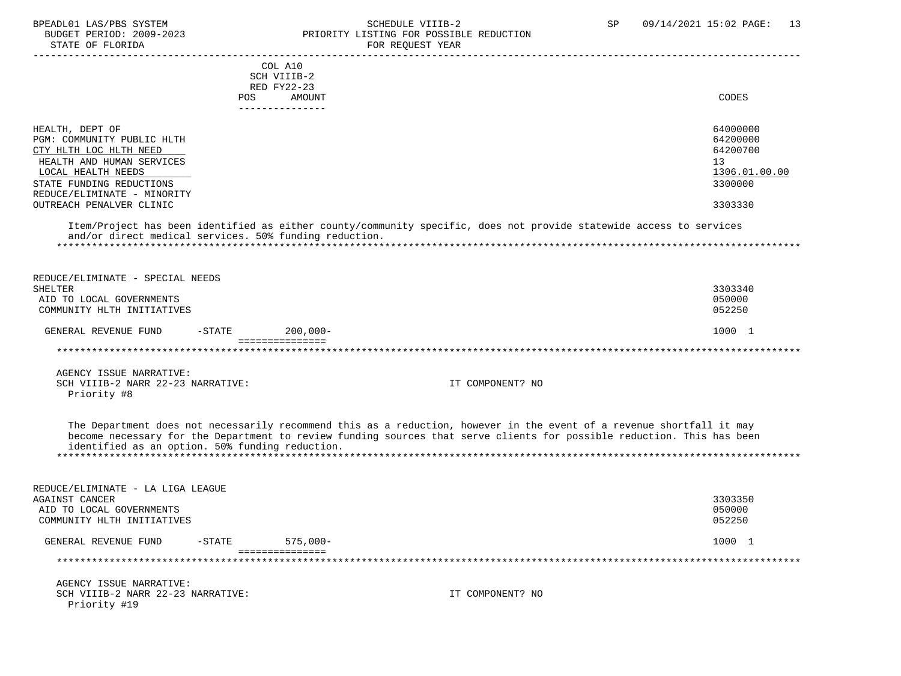STATE OF FLORIDA

# BPEADL01 LAS/PBS SYSTEM SCHEDULE VIIIB-2 SCHEDULE VIIIB-2 SP 09/14/2021 15:02 PAGE: 13<br>BUDGET PERIOD: 2009-2023 PRIORITY LISTING FOR POSSIBLE REDUCTION PRIORITY LISTING FOR POSSIBLE REDUCTION<br>FOR REQUEST YEAR

|                                                        | COL A10                                                                                                                |                 |
|--------------------------------------------------------|------------------------------------------------------------------------------------------------------------------------|-----------------|
|                                                        | SCH VIIIB-2                                                                                                            |                 |
|                                                        | RED FY22-23                                                                                                            |                 |
| POS                                                    | AMOUNT<br>_______________                                                                                              | CODES           |
|                                                        |                                                                                                                        |                 |
| HEALTH, DEPT OF                                        |                                                                                                                        | 64000000        |
| PGM: COMMUNITY PUBLIC HLTH                             |                                                                                                                        | 64200000        |
| CTY HLTH LOC HLTH NEED                                 |                                                                                                                        | 64200700        |
| HEALTH AND HUMAN SERVICES                              |                                                                                                                        | 13 <sup>°</sup> |
| LOCAL HEALTH NEEDS                                     |                                                                                                                        | 1306.01.00.00   |
| STATE FUNDING REDUCTIONS                               |                                                                                                                        | 3300000         |
| REDUCE/ELIMINATE - MINORITY                            |                                                                                                                        |                 |
| OUTREACH PENALVER CLINIC                               |                                                                                                                        | 3303330         |
|                                                        |                                                                                                                        |                 |
| and/or direct medical services. 50% funding reduction. | Item/Project has been identified as either county/community specific, does not provide statewide access to services    |                 |
|                                                        |                                                                                                                        |                 |
|                                                        |                                                                                                                        |                 |
|                                                        |                                                                                                                        |                 |
| REDUCE/ELIMINATE - SPECIAL NEEDS                       |                                                                                                                        |                 |
| <b>SHELTER</b>                                         |                                                                                                                        | 3303340         |
| AID TO LOCAL GOVERNMENTS                               |                                                                                                                        | 050000          |
| COMMUNITY HLTH INITIATIVES                             |                                                                                                                        | 052250          |
|                                                        |                                                                                                                        |                 |
| GENERAL REVENUE FUND<br>$-$ STATE                      | $200,000 -$<br>===============                                                                                         | 1000 1          |
|                                                        | **************************                                                                                             |                 |
|                                                        |                                                                                                                        |                 |
| AGENCY ISSUE NARRATIVE:                                |                                                                                                                        |                 |
| SCH VIIIB-2 NARR 22-23 NARRATIVE:                      | IT COMPONENT? NO                                                                                                       |                 |
| Priority #8                                            |                                                                                                                        |                 |
|                                                        |                                                                                                                        |                 |
|                                                        |                                                                                                                        |                 |
|                                                        | The Department does not necessarily recommend this as a reduction, however in the event of a revenue shortfall it may  |                 |
|                                                        | become necessary for the Department to review funding sources that serve clients for possible reduction. This has been |                 |
| identified as an option. 50% funding reduction.        |                                                                                                                        |                 |
|                                                        |                                                                                                                        |                 |
|                                                        |                                                                                                                        |                 |
| REDUCE/ELIMINATE - LA LIGA LEAGUE                      |                                                                                                                        |                 |
| <b>AGAINST CANCER</b>                                  |                                                                                                                        | 3303350         |
| AID TO LOCAL GOVERNMENTS                               |                                                                                                                        | 050000          |
| COMMUNITY HLTH INITIATIVES                             |                                                                                                                        | 052250          |
|                                                        |                                                                                                                        |                 |
| GENERAL REVENUE FUND<br>$-$ STATE                      | $575,000-$                                                                                                             | 1000 1          |
| **********************************                     | ===============                                                                                                        |                 |
|                                                        |                                                                                                                        |                 |
| AGENCY ISSUE NARRATIVE:                                |                                                                                                                        |                 |
| SCH VIIIB-2 NARR 22-23 NARRATIVE:                      | IT COMPONENT? NO                                                                                                       |                 |
| Priority #19                                           |                                                                                                                        |                 |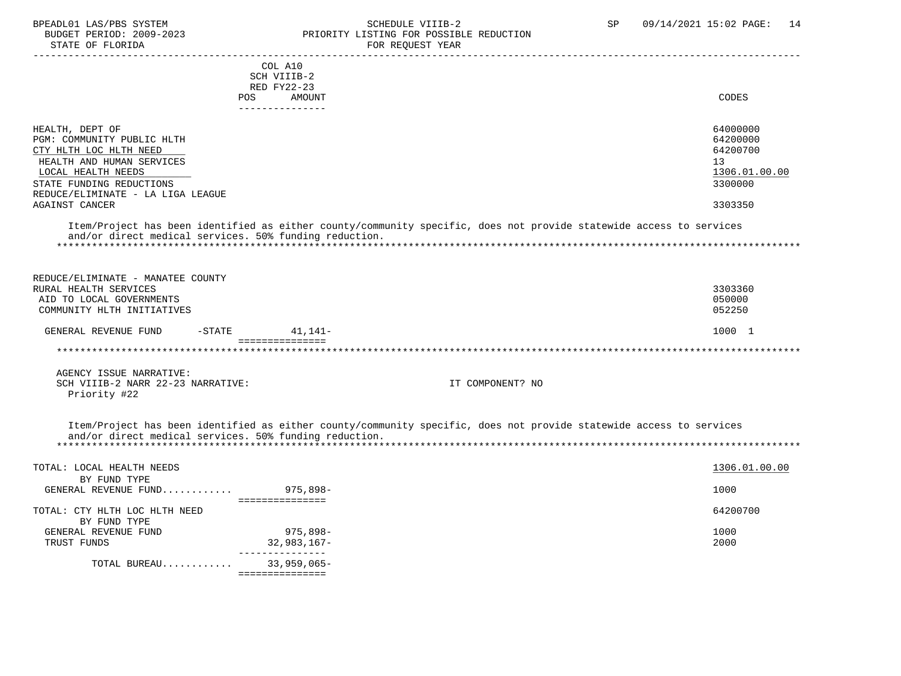STATE OF FLORIDA **FOR REQUEST YEAR** 

### BPEADL01 LAS/PBS SYSTEM SALL SOME SCHEDULE VIIIB-2 SCHEDULE SP 09/14/2021 15:02 PAGE: 14 BUDGET PERIOD: 2009-2023 PRIORITY LISTING FOR POSSIBLE REDUCTION

|                                                        | COL A10              |                                                                                                                     |               |
|--------------------------------------------------------|----------------------|---------------------------------------------------------------------------------------------------------------------|---------------|
|                                                        | SCH VIIIB-2          |                                                                                                                     |               |
|                                                        | RED FY22-23          |                                                                                                                     |               |
|                                                        | AMOUNT<br><b>POS</b> |                                                                                                                     | CODES         |
|                                                        | _______________      |                                                                                                                     |               |
| HEALTH, DEPT OF                                        |                      |                                                                                                                     | 64000000      |
| PGM: COMMUNITY PUBLIC HLTH                             |                      |                                                                                                                     | 64200000      |
|                                                        |                      |                                                                                                                     | 64200700      |
| CTY HLTH LOC HLTH NEED                                 |                      |                                                                                                                     |               |
| HEALTH AND HUMAN SERVICES                              |                      |                                                                                                                     | 13            |
| LOCAL HEALTH NEEDS                                     |                      |                                                                                                                     | 1306.01.00.00 |
| STATE FUNDING REDUCTIONS                               |                      |                                                                                                                     | 3300000       |
| REDUCE/ELIMINATE - LA LIGA LEAGUE                      |                      |                                                                                                                     |               |
| AGAINST CANCER                                         |                      |                                                                                                                     | 3303350       |
| and/or direct medical services. 50% funding reduction. |                      | Item/Project has been identified as either county/community specific, does not provide statewide access to services |               |
| REDUCE/ELIMINATE - MANATEE COUNTY                      |                      |                                                                                                                     |               |
| RURAL HEALTH SERVICES                                  |                      |                                                                                                                     | 3303360       |
| AID TO LOCAL GOVERNMENTS                               |                      |                                                                                                                     | 050000        |
| COMMUNITY HLTH INITIATIVES                             |                      |                                                                                                                     | 052250        |
|                                                        |                      |                                                                                                                     |               |
| GENERAL REVENUE FUND                                   | $-STATE$ 41, 141-    |                                                                                                                     | 1000 1        |
|                                                        | ----------------     |                                                                                                                     |               |
|                                                        |                      |                                                                                                                     |               |
| AGENCY ISSUE NARRATIVE:                                |                      |                                                                                                                     |               |
| SCH VIIIB-2 NARR 22-23 NARRATIVE:                      |                      | IT COMPONENT? NO                                                                                                    |               |
| Priority #22                                           |                      |                                                                                                                     |               |
|                                                        |                      |                                                                                                                     |               |
| and/or direct medical services. 50% funding reduction. |                      | Item/Project has been identified as either county/community specific, does not provide statewide access to services |               |
|                                                        |                      |                                                                                                                     |               |
| TOTAL: LOCAL HEALTH NEEDS                              |                      |                                                                                                                     | 1306.01.00.00 |
| BY FUND TYPE                                           |                      |                                                                                                                     |               |
| GENERAL REVENUE FUND 975,898-                          |                      |                                                                                                                     | 1000          |
|                                                        | ================     |                                                                                                                     |               |
| TOTAL: CTY HLTH LOC HLTH NEED                          |                      |                                                                                                                     | 64200700      |
| BY FUND TYPE                                           |                      |                                                                                                                     |               |
| GENERAL REVENUE FUND                                   | 975,898-             |                                                                                                                     | 1000          |
| TRUST FUNDS                                            | 32,983,167-          |                                                                                                                     | 2000          |
|                                                        | _______________      |                                                                                                                     |               |
| TOTAL BUREAU                                           | 33,959,065-          |                                                                                                                     |               |
|                                                        | ===============      |                                                                                                                     |               |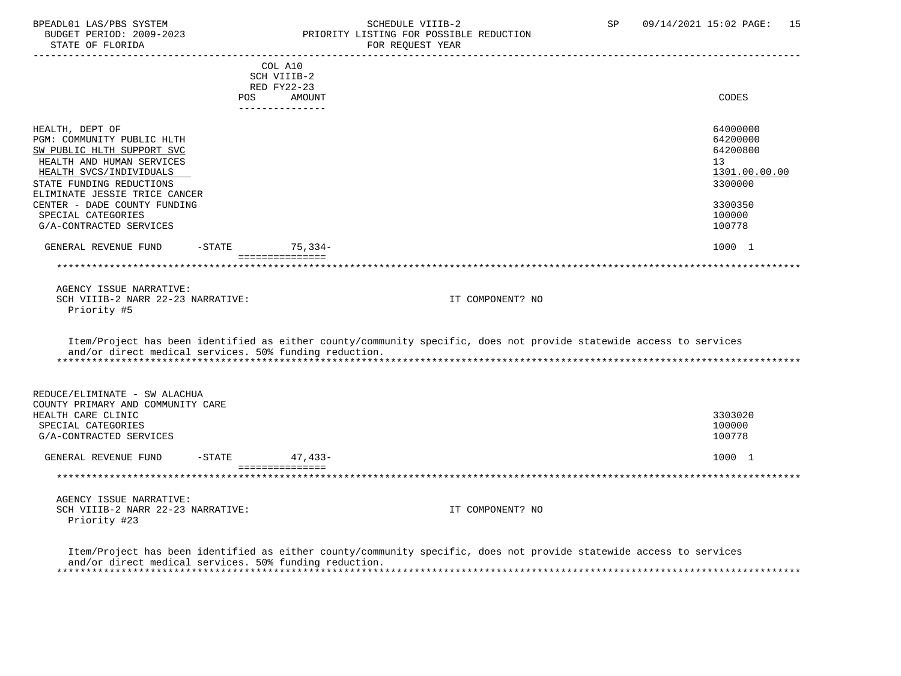## BPEADL01 LAS/PBS SYSTEM SALL SALL SOMEDULE VIIIB-2 SP 09/14/2021 15:02 PAGE: 15 BUDGET PERIOD: 2009-2023 PRIORITY LISTING FOR POSSIBLE REDUCTION

 ----------------------------------------------------------------------------------------------------------------------------------- COL A10 SCH VIIIB-2 RED FY22-23 POS AMOUNT NOTES AND AND A RESERVE AND A RESERVE AND LODGED AND LODGED AND LODGED AND LODGED AND LODGED AND LODGED AT A LODGED AND LODGED AT A LODGED AND LODGED AT A LODGED AND LODGED AT A LODGED AND LODGED AT A LODGED AND --------------- HEALTH, DEPT OF 64000000 PGM: COMMUNITY PUBLIC HLTH 64200000<br>
SW PUBLIC HLTH SUPPORT SVC SW PUBLIC HLTH SUPPORT SVC HEALTH AND HUMAN SERVICES 13 (1999) 13 (1999) 13 (1999) 13 (1999) 13 (1999) 13 (1999) 13 (1999) 13 (1999) 13 (1999) 13 (1999) 13 (1999) 13 (1999) 13 (1999) 13 (1999) 13 (1999) 13 (1999) 13 (1999) 13 (1999) 13 (1999) 13 (19 HEALTH SVCS/INDIVIDUALS 1301.00.<br>TATE FUNDING REDUCTIONS 3300000 STATE FUNDING REDUCTIONS ELIMINATE JESSIE TRICE CANCER CENTER – DADE COUNTY FUNDING<br>SPECIAL CATEGORIES SPECIAL CATEGORIES 100000 POSTAGORIES AND SERVICES AND SERVICES AND SERVICES AND SERVICES AND SERVICES AND SERVICES G/A-CONTRACTED SERVICES GENERAL REVENUE FUND -STATE 75,334- 79.334- =============== \*\*\*\*\*\*\*\*\*\*\*\*\*\*\*\*\*\*\*\*\*\*\*\*\*\*\*\*\*\*\*\*\*\*\*\*\*\*\*\*\*\*\*\*\*\*\*\*\*\*\*\*\*\*\*\*\*\*\*\*\*\*\*\*\*\*\*\*\*\*\*\*\*\*\*\*\*\*\*\*\*\*\*\*\*\*\*\*\*\*\*\*\*\*\*\*\*\*\*\*\*\*\*\*\*\*\*\*\*\*\*\*\*\*\*\*\*\*\*\*\*\*\*\*\*\*\* AGENCY ISSUE NARRATIVE: SCH VIIIB-2 NARR 22-23 NARRATIVE: IT COMPONENT? NO Priority #5 Item/Project has been identified as either county/community specific, does not provide statewide access to services and/or direct medical services. 50% funding reduction. \*\*\*\*\*\*\*\*\*\*\*\*\*\*\*\*\*\*\*\*\*\*\*\*\*\*\*\*\*\*\*\*\*\*\*\*\*\*\*\*\*\*\*\*\*\*\*\*\*\*\*\*\*\*\*\*\*\*\*\*\*\*\*\*\*\*\*\*\*\*\*\*\*\*\*\*\*\*\*\*\*\*\*\*\*\*\*\*\*\*\*\*\*\*\*\*\*\*\*\*\*\*\*\*\*\*\*\*\*\*\*\*\*\*\*\*\*\*\*\*\*\*\*\*\*\*\* REDUCE/ELIMINATE - SW ALACHUA COUNTY PRIMARY AND COMMUNITY CARE HEALTH CARE CLINIC 3303020 SPECIAL CATEGORIES 100000 POSTAGORIES 20000 POSTAGORIES 20000 POSTAGORIES 20000 POSTAGORIES G/A-CONTRACTED SERVICES 100778 GENERAL REVENUE FUND -STATE 47.433-<br>
47.433- =============== \*\*\*\*\*\*\*\*\*\*\*\*\*\*\*\*\*\*\*\*\*\*\*\*\*\*\*\*\*\*\*\*\*\*\*\*\*\*\*\*\*\*\*\*\*\*\*\*\*\*\*\*\*\*\*\*\*\*\*\*\*\*\*\*\*\*\*\*\*\*\*\*\*\*\*\*\*\*\*\*\*\*\*\*\*\*\*\*\*\*\*\*\*\*\*\*\*\*\*\*\*\*\*\*\*\*\*\*\*\*\*\*\*\*\*\*\*\*\*\*\*\*\*\*\*\*\* AGENCY ISSUE NARRATIVE: SCH VIIIB-2 NARR 22-23 NARRATIVE: IT COMPONENT? NO Priority #23 Item/Project has been identified as either county/community specific, does not provide statewide access to services

 and/or direct medical services. 50% funding reduction. \*\*\*\*\*\*\*\*\*\*\*\*\*\*\*\*\*\*\*\*\*\*\*\*\*\*\*\*\*\*\*\*\*\*\*\*\*\*\*\*\*\*\*\*\*\*\*\*\*\*\*\*\*\*\*\*\*\*\*\*\*\*\*\*\*\*\*\*\*\*\*\*\*\*\*\*\*\*\*\*\*\*\*\*\*\*\*\*\*\*\*\*\*\*\*\*\*\*\*\*\*\*\*\*\*\*\*\*\*\*\*\*\*\*\*\*\*\*\*\*\*\*\*\*\*\*\*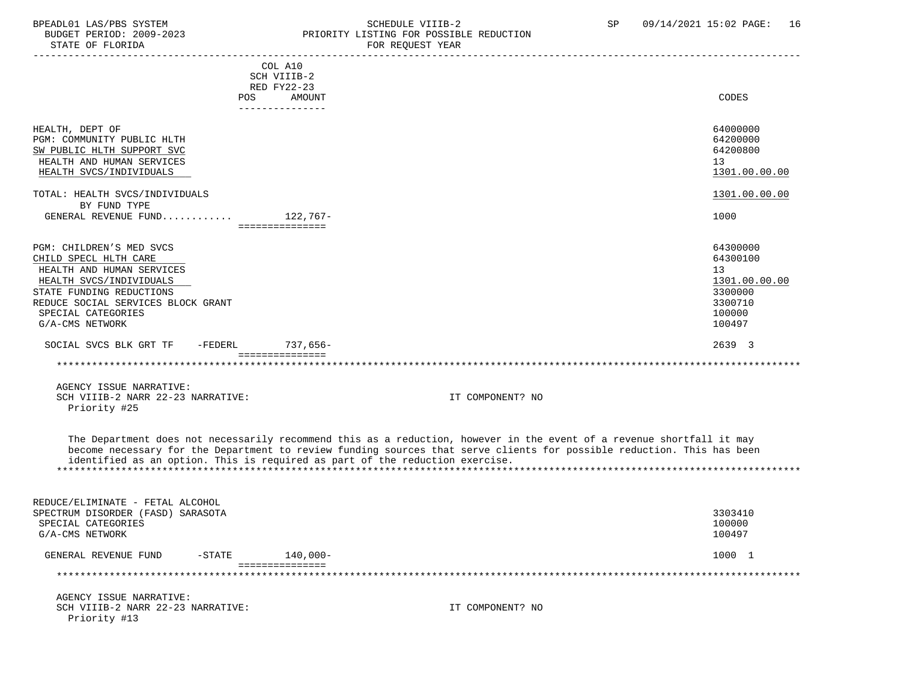STATE OF FLORIDA

Priority #13

### BPEADL01 LAS/PBS SYSTEM STRING THE SCHEDULE VIIIB-2 SCHEDULE VIIIB-2 SP 09/14/2021 15:02 PAGE: 16<br>BUDGET PERIOD: 2009-2023 PRIORITY LISTING FOR POSSIBLE REDUCTION PRIORITY LISTING FOR POSSIBLE REDUCTION

| PIAIR OF FLOKIDA                                                             |                        | FOR REQUESI IEAR                                                                                                                                                                                                                                |                    |
|------------------------------------------------------------------------------|------------------------|-------------------------------------------------------------------------------------------------------------------------------------------------------------------------------------------------------------------------------------------------|--------------------|
|                                                                              | COL A10<br>SCH VIIIB-2 |                                                                                                                                                                                                                                                 |                    |
|                                                                              | RED FY22-23            |                                                                                                                                                                                                                                                 |                    |
|                                                                              | POS.<br>AMOUNT         |                                                                                                                                                                                                                                                 | CODES              |
|                                                                              | ---------------        |                                                                                                                                                                                                                                                 |                    |
| HEALTH, DEPT OF                                                              |                        |                                                                                                                                                                                                                                                 | 64000000           |
| PGM: COMMUNITY PUBLIC HLTH                                                   |                        |                                                                                                                                                                                                                                                 | 64200000           |
| SW PUBLIC HLTH SUPPORT SVC                                                   |                        |                                                                                                                                                                                                                                                 | 64200800           |
| HEALTH AND HUMAN SERVICES                                                    |                        |                                                                                                                                                                                                                                                 | 13                 |
| HEALTH SVCS/INDIVIDUALS                                                      |                        |                                                                                                                                                                                                                                                 | 1301.00.00.00      |
| TOTAL: HEALTH SVCS/INDIVIDUALS                                               |                        |                                                                                                                                                                                                                                                 | 1301.00.00.00      |
| BY FUND TYPE                                                                 |                        |                                                                                                                                                                                                                                                 |                    |
| GENERAL REVENUE FUND $122,767-$                                              | ===============        |                                                                                                                                                                                                                                                 | 1000               |
|                                                                              |                        |                                                                                                                                                                                                                                                 |                    |
| PGM: CHILDREN'S MED SVCS                                                     |                        |                                                                                                                                                                                                                                                 | 64300000           |
| CHILD SPECL HLTH CARE                                                        |                        |                                                                                                                                                                                                                                                 | 64300100           |
| HEALTH AND HUMAN SERVICES                                                    |                        |                                                                                                                                                                                                                                                 | 13                 |
| HEALTH SVCS/INDIVIDUALS                                                      |                        |                                                                                                                                                                                                                                                 | 1301.00.00.00      |
| STATE FUNDING REDUCTIONS                                                     |                        |                                                                                                                                                                                                                                                 | 3300000            |
| REDUCE SOCIAL SERVICES BLOCK GRANT                                           |                        |                                                                                                                                                                                                                                                 | 3300710            |
| SPECIAL CATEGORIES                                                           |                        |                                                                                                                                                                                                                                                 | 100000             |
| G/A-CMS NETWORK                                                              |                        |                                                                                                                                                                                                                                                 | 100497             |
| SOCIAL SVCS BLK GRT TF<br>-FEDERL                                            | 737,656-               |                                                                                                                                                                                                                                                 | 2639 3             |
|                                                                              | ===============        |                                                                                                                                                                                                                                                 | ****************** |
| AGENCY ISSUE NARRATIVE:                                                      |                        |                                                                                                                                                                                                                                                 |                    |
| SCH VIIIB-2 NARR 22-23 NARRATIVE:                                            |                        | IT COMPONENT? NO                                                                                                                                                                                                                                |                    |
| Priority #25                                                                 |                        |                                                                                                                                                                                                                                                 |                    |
| identified as an option. This is required as part of the reduction exercise. |                        | The Department does not necessarily recommend this as a reduction, however in the event of a revenue shortfall it may<br>become necessary for the Department to review funding sources that serve clients for possible reduction. This has been |                    |
| REDUCE/ELIMINATE - FETAL ALCOHOL                                             |                        |                                                                                                                                                                                                                                                 |                    |
| SPECTRUM DISORDER (FASD) SARASOTA                                            |                        |                                                                                                                                                                                                                                                 | 3303410            |
| SPECIAL CATEGORIES                                                           |                        |                                                                                                                                                                                                                                                 | 100000             |
| G/A-CMS NETWORK                                                              |                        |                                                                                                                                                                                                                                                 | 100497             |
| GENERAL REVENUE FUND<br>$-$ STATE                                            | $140,000-$             |                                                                                                                                                                                                                                                 | 1000 1             |
|                                                                              | ===============        |                                                                                                                                                                                                                                                 |                    |
| AGENCY ISSUE NARRATIVE:                                                      |                        |                                                                                                                                                                                                                                                 |                    |
| SCH VIIIB-2 NARR 22-23 NARRATIVE:                                            |                        | IT COMPONENT? NO                                                                                                                                                                                                                                |                    |
|                                                                              |                        |                                                                                                                                                                                                                                                 |                    |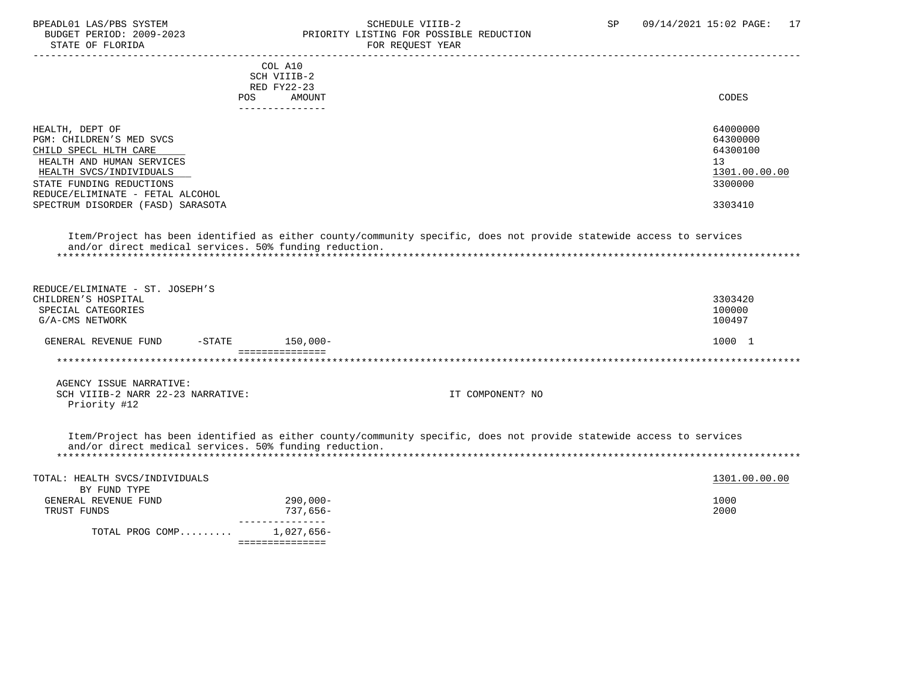STATE OF FLORIDA

# BPEADL01 LAS/PBS SYSTEM STRING THE SCHEDULE VIIIB-2 SCHEDULE VIIIB-2 SP 09/14/2021 15:02 PAGE: 17<br>BUDGET PERIOD: 2009-2023 PRIORITY LISTING FOR POSSIBLE REDUCTION PRIORITY LISTING FOR POSSIBLE REDUCTION<br>FOR PEOURST YEAR

| STATE OF FLORIDA                  |                                                        | FOR REQUEST IEAR                                                                                                    |               |
|-----------------------------------|--------------------------------------------------------|---------------------------------------------------------------------------------------------------------------------|---------------|
|                                   | COL A10                                                |                                                                                                                     |               |
|                                   | SCH VIIIB-2                                            |                                                                                                                     |               |
|                                   | RED FY22-23                                            |                                                                                                                     |               |
|                                   | AMOUNT<br>POS                                          |                                                                                                                     | <b>CODES</b>  |
|                                   | ---------------                                        |                                                                                                                     |               |
| HEALTH, DEPT OF                   |                                                        |                                                                                                                     | 64000000      |
| PGM: CHILDREN'S MED SVCS          |                                                        |                                                                                                                     | 64300000      |
| CHILD SPECL HLTH CARE             |                                                        |                                                                                                                     | 64300100      |
| HEALTH AND HUMAN SERVICES         |                                                        |                                                                                                                     | 13            |
| HEALTH SVCS/INDIVIDUALS           |                                                        |                                                                                                                     | 1301.00.00.00 |
|                                   |                                                        |                                                                                                                     |               |
| STATE FUNDING REDUCTIONS          |                                                        |                                                                                                                     | 3300000       |
| REDUCE/ELIMINATE - FETAL ALCOHOL  |                                                        |                                                                                                                     | 3303410       |
| SPECTRUM DISORDER (FASD) SARASOTA |                                                        |                                                                                                                     |               |
|                                   |                                                        |                                                                                                                     |               |
|                                   |                                                        | Item/Project has been identified as either county/community specific, does not provide statewide access to services |               |
|                                   | and/or direct medical services. 50% funding reduction. |                                                                                                                     |               |
|                                   |                                                        |                                                                                                                     |               |
|                                   |                                                        |                                                                                                                     |               |
| REDUCE/ELIMINATE - ST. JOSEPH'S   |                                                        |                                                                                                                     |               |
| CHILDREN'S HOSPITAL               |                                                        |                                                                                                                     | 3303420       |
| SPECIAL CATEGORIES                |                                                        |                                                                                                                     | 100000        |
| G/A-CMS NETWORK                   |                                                        |                                                                                                                     | 100497        |
|                                   |                                                        |                                                                                                                     |               |
| GENERAL REVENUE FUND<br>$-$ STATE | $150,000-$<br>===============                          |                                                                                                                     | 1000 1        |
|                                   |                                                        |                                                                                                                     |               |
|                                   |                                                        |                                                                                                                     |               |
| AGENCY ISSUE NARRATIVE:           |                                                        |                                                                                                                     |               |
| SCH VIIIB-2 NARR 22-23 NARRATIVE: |                                                        | IT COMPONENT? NO                                                                                                    |               |
| Priority #12                      |                                                        |                                                                                                                     |               |
|                                   |                                                        |                                                                                                                     |               |
|                                   |                                                        | Item/Project has been identified as either county/community specific, does not provide statewide access to services |               |
|                                   | and/or direct medical services. 50% funding reduction. |                                                                                                                     |               |
|                                   |                                                        |                                                                                                                     |               |
| TOTAL: HEALTH SVCS/INDIVIDUALS    |                                                        |                                                                                                                     | 1301.00.00.00 |
| BY FUND TYPE                      |                                                        |                                                                                                                     |               |
| GENERAL REVENUE FUND              | $290,000-$                                             |                                                                                                                     | 1000          |
| TRUST FUNDS                       | 737,656-                                               |                                                                                                                     | 2000          |
|                                   | ________________                                       |                                                                                                                     |               |
| TOTAL PROG COMP                   | 1,027,656-                                             |                                                                                                                     |               |
|                                   | ===============                                        |                                                                                                                     |               |